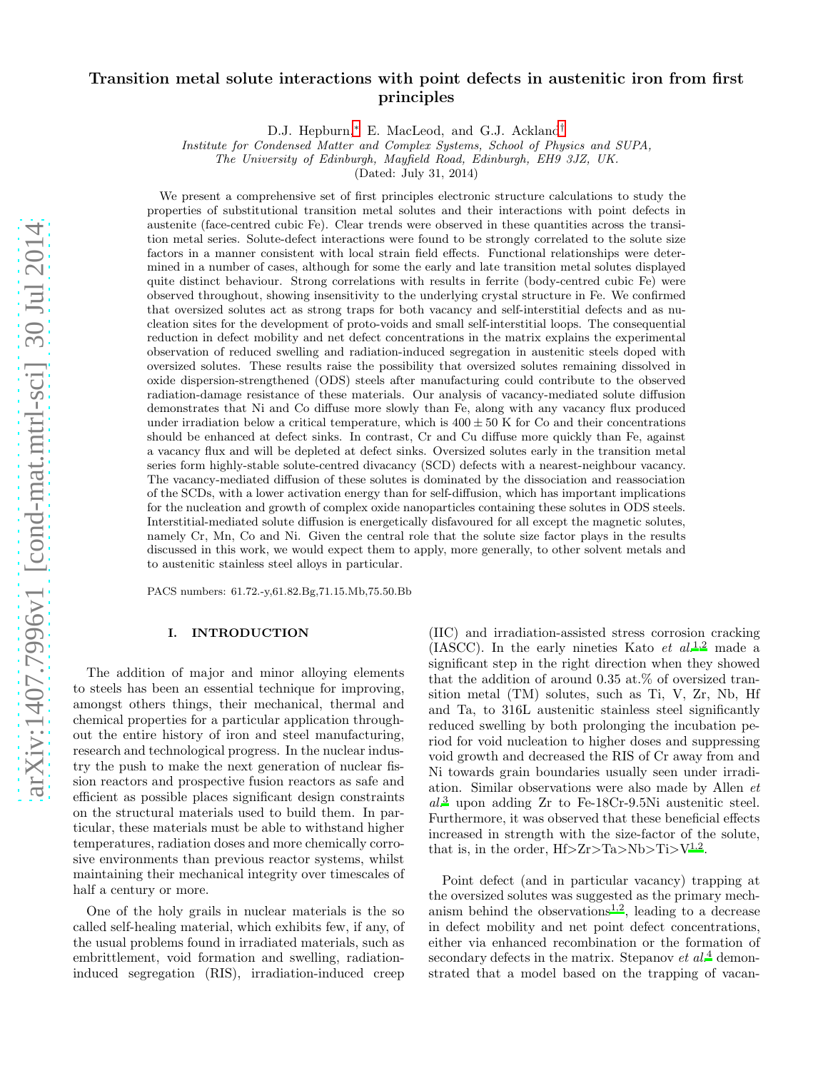# Transition metal solute interactions with point defects in austenitic iron from first principles

D.J. Hepburn,<sup>[∗](#page-17-0)</sup> E. MacLeod, and G.J. Ackland<sup>[†](#page-17-1)</sup>

Institute for Condensed Matter and Complex Systems, School of Physics and SUPA,

The University of Edinburgh, Mayfield Road, Edinburgh, EH9 3JZ, UK.

(Dated: July 31, 2014)

We present a comprehensive set of first principles electronic structure calculations to study the properties of substitutional transition metal solutes and their interactions with point defects in austenite (face-centred cubic Fe). Clear trends were observed in these quantities across the transition metal series. Solute-defect interactions were found to be strongly correlated to the solute size factors in a manner consistent with local strain field effects. Functional relationships were determined in a number of cases, although for some the early and late transition metal solutes displayed quite distinct behaviour. Strong correlations with results in ferrite (body-centred cubic Fe) were observed throughout, showing insensitivity to the underlying crystal structure in Fe. We confirmed that oversized solutes act as strong traps for both vacancy and self-interstitial defects and as nucleation sites for the development of proto-voids and small self-interstitial loops. The consequential reduction in defect mobility and net defect concentrations in the matrix explains the experimental observation of reduced swelling and radiation-induced segregation in austenitic steels doped with oversized solutes. These results raise the possibility that oversized solutes remaining dissolved in oxide dispersion-strengthened (ODS) steels after manufacturing could contribute to the observed radiation-damage resistance of these materials. Our analysis of vacancy-mediated solute diffusion demonstrates that Ni and Co diffuse more slowly than Fe, along with any vacancy flux produced under irradiation below a critical temperature, which is  $400 \pm 50$  K for Co and their concentrations should be enhanced at defect sinks. In contrast, Cr and Cu diffuse more quickly than Fe, against a vacancy flux and will be depleted at defect sinks. Oversized solutes early in the transition metal series form highly-stable solute-centred divacancy (SCD) defects with a nearest-neighbour vacancy. The vacancy-mediated diffusion of these solutes is dominated by the dissociation and reassociation of the SCDs, with a lower activation energy than for self-diffusion, which has important implications for the nucleation and growth of complex oxide nanoparticles containing these solutes in ODS steels. Interstitial-mediated solute diffusion is energetically disfavoured for all except the magnetic solutes, namely Cr, Mn, Co and Ni. Given the central role that the solute size factor plays in the results discussed in this work, we would expect them to apply, more generally, to other solvent metals and to austenitic stainless steel alloys in particular.

PACS numbers: 61.72.-y,61.82.Bg,71.15.Mb,75.50.Bb

# I. INTRODUCTION

The addition of major and minor alloying elements to steels has been an essential technique for improving, amongst others things, their mechanical, thermal and chemical properties for a particular application throughout the entire history of iron and steel manufacturing, research and technological progress. In the nuclear industry the push to make the next generation of nuclear fission reactors and prospective fusion reactors as safe and efficient as possible places significant design constraints on the structural materials used to build them. In particular, these materials must be able to withstand higher temperatures, radiation doses and more chemically corrosive environments than previous reactor systems, whilst maintaining their mechanical integrity over timescales of half a century or more.

One of the holy grails in nuclear materials is the so called self-healing material, which exhibits few, if any, of the usual problems found in irradiated materials, such as embrittlement, void formation and swelling, radiationinduced segregation (RIS), irradiation-induced creep

(IIC) and irradiation-assisted stress corrosion cracking (IASCC). In the early nineties Kato *et al.*<sup>[1](#page-17-2)[,2](#page-17-3)</sup> made a significant step in the right direction when they showed that the addition of around 0.35 at. $%$  of oversized transition metal (TM) solutes, such as Ti, V, Zr, Nb, Hf and Ta, to 316L austenitic stainless steel significantly reduced swelling by both prolonging the incubation period for void nucleation to higher doses and suppressing void growth and decreased the RIS of Cr away from and Ni towards grain boundaries usually seen under irradiation. Similar observations were also made by Allen et al[.](#page-17-4)<sup>3</sup> upon adding Zr to Fe-18Cr-9.5Ni austenitic steel. Furthermore, it was observed that these beneficial effects increased in strength with the size-factor of the solute, that is, in the order,  $Hf > Zr > Ta > Nb > Ti > V^{1,2}$  $Hf > Zr > Ta > Nb > Ti > V^{1,2}$  $Hf > Zr > Ta > Nb > Ti > V^{1,2}$  $Hf > Zr > Ta > Nb > Ti > V^{1,2}$  $Hf > Zr > Ta > Nb > Ti > V^{1,2}$ .

Point defect (and in particular vacancy) trapping at the oversized solutes was suggested as the primary mechani[s](#page-17-2)m behind the observations<sup>1[,2](#page-17-3)</sup>, leading to a decrease in defect mobility and net point defect concentrations, either via enhanced recombination or the formation of secondary defects in the matrix. Stepanov et  $al<sup>4</sup>$  $al<sup>4</sup>$  $al<sup>4</sup>$  demonstrated that a model based on the trapping of vacan-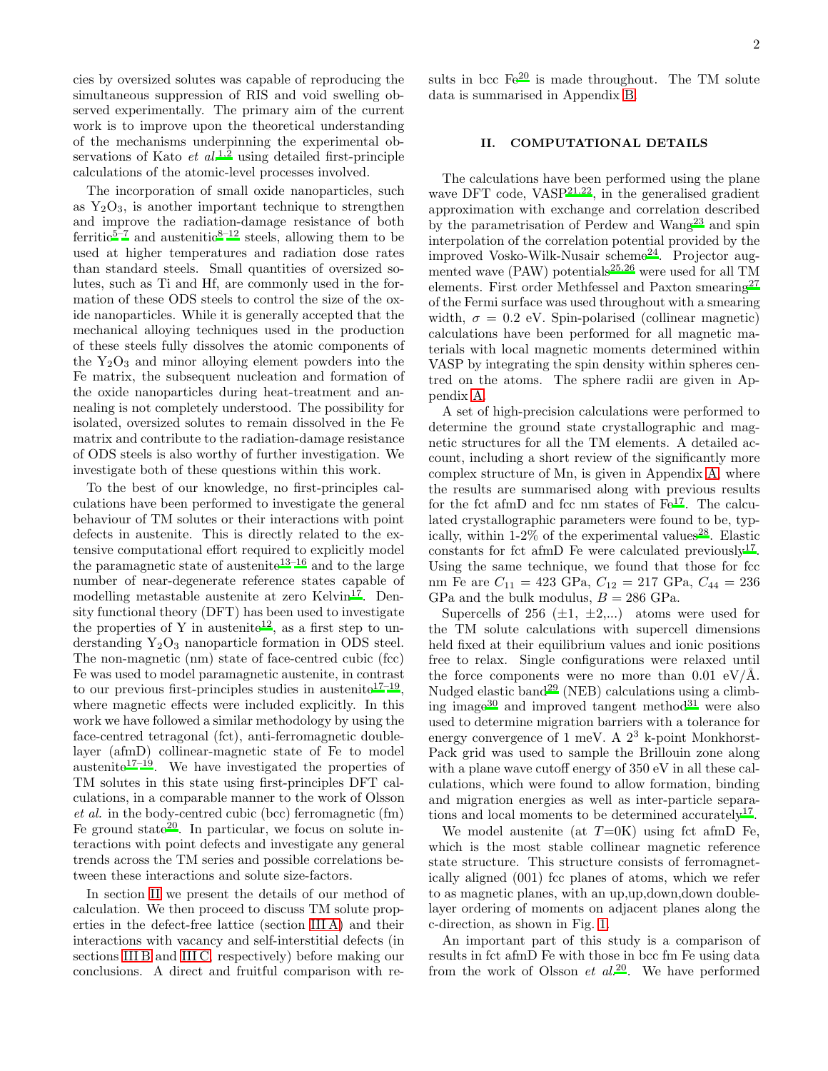cies by oversized solutes was capable of reproducing the simultaneous suppression of RIS and void swelling observed experimentally. The primary aim of the current work is to improve upon the theoretical understanding of the mechanisms underpinning the experimental observations of Kato *et al[.](#page-17-2)*<sup>1[,2](#page-17-3)</sup> using detailed first-principle calculations of the atomic-level processes involved.

The incorporation of small oxide nanoparticles, such as  $Y_2O_3$ , is another important technique to strengthen and improve the radiation-damage resistance of both ferritic<sup>[5](#page-17-6)[–7](#page-17-7)</sup> and austenitic<sup>[8](#page-18-0)[–12](#page-18-1)</sup> steels, allowing them to be used at higher temperatures and radiation dose rates than standard steels. Small quantities of oversized solutes, such as Ti and Hf, are commonly used in the formation of these ODS steels to control the size of the oxide nanoparticles. While it is generally accepted that the mechanical alloying techniques used in the production of these steels fully dissolves the atomic components of the  $Y_2O_3$  and minor alloying element powders into the Fe matrix, the subsequent nucleation and formation of the oxide nanoparticles during heat-treatment and annealing is not completely understood. The possibility for isolated, oversized solutes to remain dissolved in the Fe matrix and contribute to the radiation-damage resistance of ODS steels is also worthy of further investigation. We investigate both of these questions within this work.

To the best of our knowledge, no first-principles calculations have been performed to investigate the general behaviour of TM solutes or their interactions with point defects in austenite. This is directly related to the extensive computational effort required to explicitly model the paramagnetic state of austenite<sup>[13](#page-18-2)[–16](#page-18-3)</sup> and to the large number of near-degenerate reference states capable of modelling metastable austenite at zero Kelvin<sup>[17](#page-18-4)</sup>. Density functional theory (DFT) has been used to investigate the properties of Y in austenite<sup>[12](#page-18-1)</sup>, as a first step to understanding  $Y_2O_3$  nanoparticle formation in ODS steel. The non-magnetic (nm) state of face-centred cubic (fcc) Fe was used to model paramagnetic austenite, in contrast to our pr[e](#page-18-4)vious first-principles studies in austenite<sup>17-19</sup>, where magnetic effects were included explicitly. In this work we have followed a similar methodology by using the face-centred tetragonal (fct), anti-ferromagnetic doublelayer (afmD) collinear-magnetic state of Fe to model austenite<sup>[17](#page-18-4)[–19](#page-18-5)</sup>. We have investigated the properties of TM solutes in this state using first-principles DFT calculations, in a comparable manner to the work of Olsson et al. in the body-centred cubic (bcc) ferromagnetic (fm) Fe ground state<sup>[20](#page-18-6)</sup>. In particular, we focus on solute interactions with point defects and investigate any general trends across the TM series and possible correlations between these interactions and solute size-factors.

In section [II](#page-1-0) we present the details of our method of calculation. We then proceed to discuss TM solute properties in the defect-free lattice (section [III A\)](#page-2-0) and their interactions with vacancy and self-interstitial defects (in sections [III B](#page-4-0) and [III C,](#page-11-0) respectively) before making our conclusions. A direct and fruitful comparison with results in bcc  $\text{Fe}^{20}$  $\text{Fe}^{20}$  $\text{Fe}^{20}$  is made throughout. The TM solute data is summarised in Appendix [B.](#page-17-8)

### <span id="page-1-0"></span>II. COMPUTATIONAL DETAILS

The calculations have been performed using the plane wave DFT code, VASP<sup>[21](#page-18-7)[,22](#page-18-8)</sup>, in the generalised gradient approximation with exchange and correlation described by the parametrisation of Perdew and Wang[23](#page-18-9) and spin interpolation of the correlation potential provided by the improved Vosko-Wilk-Nusair scheme $^{24}$  $^{24}$  $^{24}$ . Projector augmented wave  $(PAW)$  potentials<sup>[25](#page-18-11)[,26](#page-18-12)</sup> were used for all TM elements. First order Methfessel and Paxton smearing<sup>[27](#page-18-13)</sup> of the Fermi surface was used throughout with a smearing width,  $\sigma = 0.2$  eV. Spin-polarised (collinear magnetic) calculations have been performed for all magnetic materials with local magnetic moments determined within VASP by integrating the spin density within spheres centred on the atoms. The sphere radii are given in Appendix [A.](#page-14-0)

A set of high-precision calculations were performed to determine the ground state crystallographic and magnetic structures for all the TM elements. A detailed account, including a short review of the significantly more complex structure of Mn, is given in Appendix [A,](#page-14-0) where the results are summarised along with previous results for the fct afmD and fcc nm states of  $Fe^{17}$  $Fe^{17}$  $Fe^{17}$ . The calculated crystallographic parameters were found to be, typically, within  $1-2\%$  of the experimental value[s](#page-19-0)<sup>28</sup>. Elastic constants for fct afmD Fe were calculated previously<sup>[17](#page-18-4)</sup>. Using the same technique, we found that those for fcc nm Fe are  $C_{11} = 423$  GPa,  $C_{12} = 217$  GPa,  $C_{44} = 236$ GPa and the bulk modulus,  $B = 286$  GPa.

Supercells of 256  $(\pm 1, \pm 2,...)$  atoms were used for the TM solute calculations with supercell dimensions held fixed at their equilibrium values and ionic positions free to relax. Single configurations were relaxed until the force components were no more than  $0.01 \text{ eV/A}$ . Nudged elastic band<sup>[29](#page-19-1)</sup> (NEB) calculations using a climb-ing image<sup>[30](#page-19-2)</sup> and improved tangent method<sup>[31](#page-19-3)</sup> were also used to determine migration barriers with a tolerance for energy convergence of 1 meV. A  $2^3$  k-point Monkhorst-Pack grid was used to sample the Brillouin zone along with a plane wave cutoff energy of 350 eV in all these calculations, which were found to allow formation, binding and migration energies as well as inter-particle separa-tions and local moments to be determined accurately<sup>[17](#page-18-4)</sup>.

We model austenite (at  $T=0$ K) using fct afmD Fe, which is the most stable collinear magnetic reference state structure. This structure consists of ferromagnetically aligned (001) fcc planes of atoms, which we refer to as magnetic planes, with an up,up,down,down doublelayer ordering of moments on adjacent planes along the c-direction, as shown in Fig. [1.](#page-2-1)

An important part of this study is a comparison of results in fct afmD Fe with those in bcc fm Fe using data from the work of Olsson  $et$   $al.^{20}$  $al.^{20}$  $al.^{20}$ . We have performed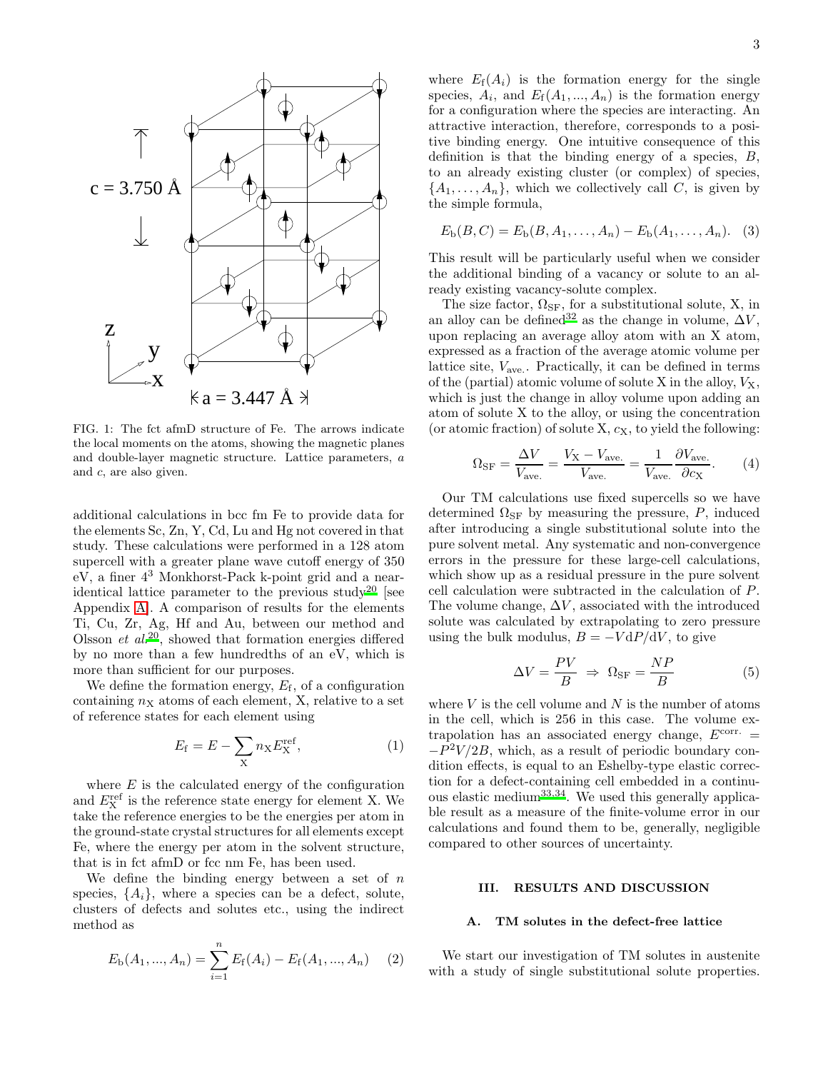

<span id="page-2-1"></span>FIG. 1: The fct afmD structure of Fe. The arrows indicate the local moments on the atoms, showing the magnetic planes and double-layer magnetic structure. Lattice parameters, a and c, are also given.

additional calculations in bcc fm Fe to provide data for the elements Sc, Zn, Y, Cd, Lu and Hg not covered in that study. These calculations were performed in a 128 atom supercell with a greater plane wave cutoff energy of 350 eV, a finer 4<sup>3</sup> Monkhorst-Pack k-point grid and a near-identical lattice parameter to the previous study<sup>[20](#page-18-6)</sup> [see Appendix [A\]](#page-14-0). A comparison of results for the elements Ti, Cu, Zr, Ag, Hf and Au, between our method and Olsson  $et \ al.<sup>20</sup>$  $et \ al.<sup>20</sup>$  $et \ al.<sup>20</sup>$ , showed that formation energies differed by no more than a few hundredths of an eV, which is more than sufficient for our purposes.

We define the formation energy,  $E_f$ , of a configuration containing  $n_X$  atoms of each element, X, relative to a set of reference states for each element using

<span id="page-2-2"></span>
$$
E_{\rm f} = E - \sum_{\rm X} n_{\rm X} E_{\rm X}^{\rm ref},\tag{1}
$$

where  $E$  is the calculated energy of the configuration and  $E_{\text{X}}^{\text{ref}}$  is the reference state energy for element X. We take the reference energies to be the energies per atom in the ground-state crystal structures for all elements except Fe, where the energy per atom in the solvent structure, that is in fct afmD or fcc nm Fe, has been used.

We define the binding energy between a set of  $n$ species,  $\{A_i\}$ , where a species can be a defect, solute, clusters of defects and solutes etc., using the indirect method as

$$
E_{\rm b}(A_1, ..., A_n) = \sum_{i=1}^{n} E_{\rm f}(A_i) - E_{\rm f}(A_1, ..., A_n) \quad (2)
$$

where  $E_f(A_i)$  is the formation energy for the single species,  $A_i$ , and  $E_f(A_1, ..., A_n)$  is the formation energy for a configuration where the species are interacting. An attractive interaction, therefore, corresponds to a positive binding energy. One intuitive consequence of this definition is that the binding energy of a species,  $B$ , to an already existing cluster (or complex) of species,  $\{A_1, \ldots, A_n\}$ , which we collectively call C, is given by the simple formula,

$$
E_{\rm b}(B,C) = E_{\rm b}(B, A_1, \dots, A_n) - E_{\rm b}(A_1, \dots, A_n). \quad (3)
$$

This result will be particularly useful when we consider the additional binding of a vacancy or solute to an already existing vacancy-solute complex.

The size factor,  $\Omega_{\rm SF}$ , for a substitutional solute, X, in an alloy can be defined<sup>[32](#page-19-4)</sup> as the change in volume,  $\Delta V$ , upon replacing an average alloy atom with an X atom, expressed as a fraction of the average atomic volume per lattice site, Vave. . Practically, it can be defined in terms of the (partial) atomic volume of solute  $X$  in the alloy,  $V_X$ , which is just the change in alloy volume upon adding an atom of solute X to the alloy, or using the concentration (or atomic fraction) of solute  $X, c_X$ , to yield the following:

$$
\Omega_{\rm SF} = \frac{\Delta V}{V_{\rm ave.}} = \frac{V_{\rm X} - V_{\rm ave.}}{V_{\rm ave.}} = \frac{1}{V_{\rm ave.}} \frac{\partial V_{\rm ave.}}{\partial c_{\rm X}}.\tag{4}
$$

Our TM calculations use fixed supercells so we have determined  $\Omega_{\rm SF}$  by measuring the pressure, P, induced after introducing a single substitutional solute into the pure solvent metal. Any systematic and non-convergence errors in the pressure for these large-cell calculations, which show up as a residual pressure in the pure solvent cell calculation were subtracted in the calculation of P. The volume change,  $\Delta V$ , associated with the introduced solute was calculated by extrapolating to zero pressure using the bulk modulus,  $B = -V dP/dV$ , to give

$$
\Delta V = \frac{PV}{B} \Rightarrow \Omega_{\rm SF} = \frac{NP}{B} \tag{5}
$$

where  $V$  is the cell volume and  $N$  is the number of atoms in the cell, which is 256 in this case. The volume extrapolation has an associated energy change,  $E^{\text{corr}}$  =  $-P<sup>2</sup>V/2B$ , which, as a result of periodic boundary condition effects, is equal to an Eshelby-type elastic correction for a defect-containing cell embedded in a continuous elastic medium[33](#page-19-5)[,34](#page-19-6). We used this generally applicable result as a measure of the finite-volume error in our calculations and found them to be, generally, negligible compared to other sources of uncertainty.

# III. RESULTS AND DISCUSSION

### <span id="page-2-0"></span>A. TM solutes in the defect-free lattice

We start our investigation of TM solutes in austenite with a study of single substitutional solute properties.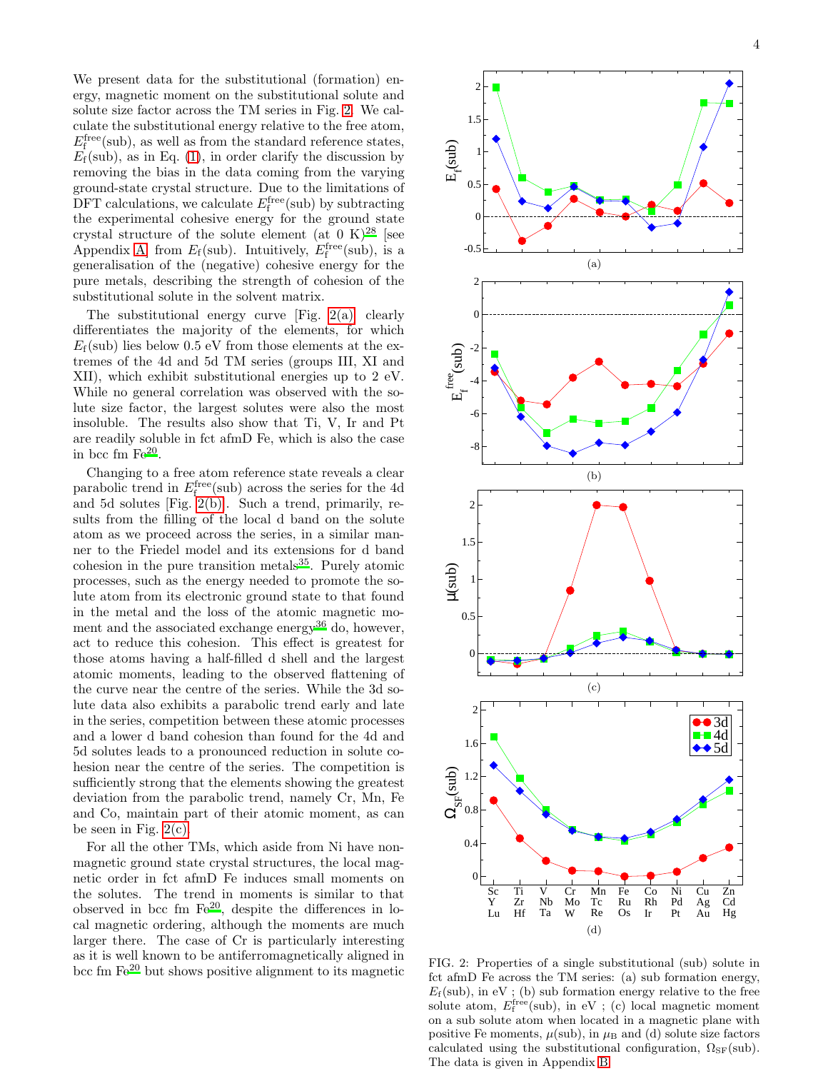We present data for the substitutional (formation) energy, magnetic moment on the substitutional solute and solute size factor across the TM series in Fig. [2.](#page-3-0) We calculate the substitutional energy relative to the free atom,  $E_{\rm f}^{\rm free}({\rm sub}),$  as well as from the standard reference states,  $E_f(\text{sub})$ , as in Eq. [\(1\)](#page-2-2), in order clarify the discussion by removing the bias in the data coming from the varying ground-state crystal structure. Due to the limitations of DFT calculations, we calculate  $E_{\rm f}^{\rm free}$  (sub) by subtracting the experimental cohesive energy for the ground state crystal structure of the solute element (at  $0 \text{ K}$ )<sup>[28](#page-19-0)</sup> [see Appendix [A\]](#page-14-0) from  $E_f$ (sub). Intuitively,  $E_f^{\text{free}}$ (sub), is a generalisation of the (negative) cohesive energy for the pure metals, describing the strength of cohesion of the substitutional solute in the solvent matrix.

The substitutional energy curve [Fig. [2\(a\)\]](#page-3-1) clearly differentiates the majority of the elements, for which  $E_f$ (sub) lies below 0.5 eV from those elements at the extremes of the 4d and 5d TM series (groups III, XI and XII), which exhibit substitutional energies up to 2 eV. While no general correlation was observed with the solute size factor, the largest solutes were also the most insoluble. The results also show that Ti, V, Ir and Pt are readily soluble in fct afmD Fe, which is also the case in bcc fm  $Fe^{20}$  $Fe^{20}$  $Fe^{20}$ .

<span id="page-3-2"></span>Changing to a free atom reference state reveals a clear parabolic trend in  $E_{\rm f}^{\rm free}$ (sub) across the series for the 4d and 5d solutes [Fig. [2\(b\)\]](#page-3-2). Such a trend, primarily, results from the filling of the local d band on the solute atom as we proceed across the series, in a similar manner to the Friedel model and its extensions for d band cohesion in the pure transition metals $35$ . Purely atomic processes, such as the energy needed to promote the solute atom from its electronic ground state to that found in the metal and the loss of the atomic magnetic mo-ment and the associated exchange energy<sup>[36](#page-19-8)</sup> do, however, act to reduce this cohesion. This effect is greatest for those atoms having a half-filled d shell and the largest atomic moments, leading to the observed flattening of the curve near the centre of the series. While the 3d solute data also exhibits a parabolic trend early and late in the series, competition between these atomic processes and a lower d band cohesion than found for the 4d and 5d solutes leads to a pronounced reduction in solute cohesion near the centre of the series. The competition is sufficiently strong that the elements showing the greatest deviation from the parabolic trend, namely Cr, Mn, Fe and Co, maintain part of their atomic moment, as can be seen in Fig.  $2(c)$ .

For all the other TMs, which aside from Ni have nonmagnetic ground state crystal structures, the local magnetic order in fct afmD Fe induces small moments on the solutes. The trend in moments is similar to that observed in bcc fm  $\text{Fe}^{20}$  $\text{Fe}^{20}$  $\text{Fe}^{20}$ , despite the differences in local magnetic ordering, although the moments are much larger there. The case of Cr is particularly interesting as it is well known to be antiferromagnetically aligned in bcc fm  $\text{Fe}^{20}$  $\text{Fe}^{20}$  $\text{Fe}^{20}$  but shows positive alignment to its magnetic

<span id="page-3-1"></span>

<span id="page-3-4"></span><span id="page-3-3"></span><span id="page-3-0"></span>FIG. 2: Properties of a single substitutional (sub) solute in fct afmD Fe across the TM series: (a) sub formation energy,  $E_f(\text{sub})$ , in eV; (b) sub formation energy relative to the free solute atom,  $E_f^{\text{free}}(\text{sub})$ , in eV ; (c) local magnetic moment on a sub solute atom when located in a magnetic plane with positive Fe moments,  $\mu(\text{sub})$ , in  $\mu_B$  and (d) solute size factors calculated using the substitutional configuration,  $\Omega_{\rm SF}(\rm sub)$ . The data is given in Appendix [B.](#page-17-8)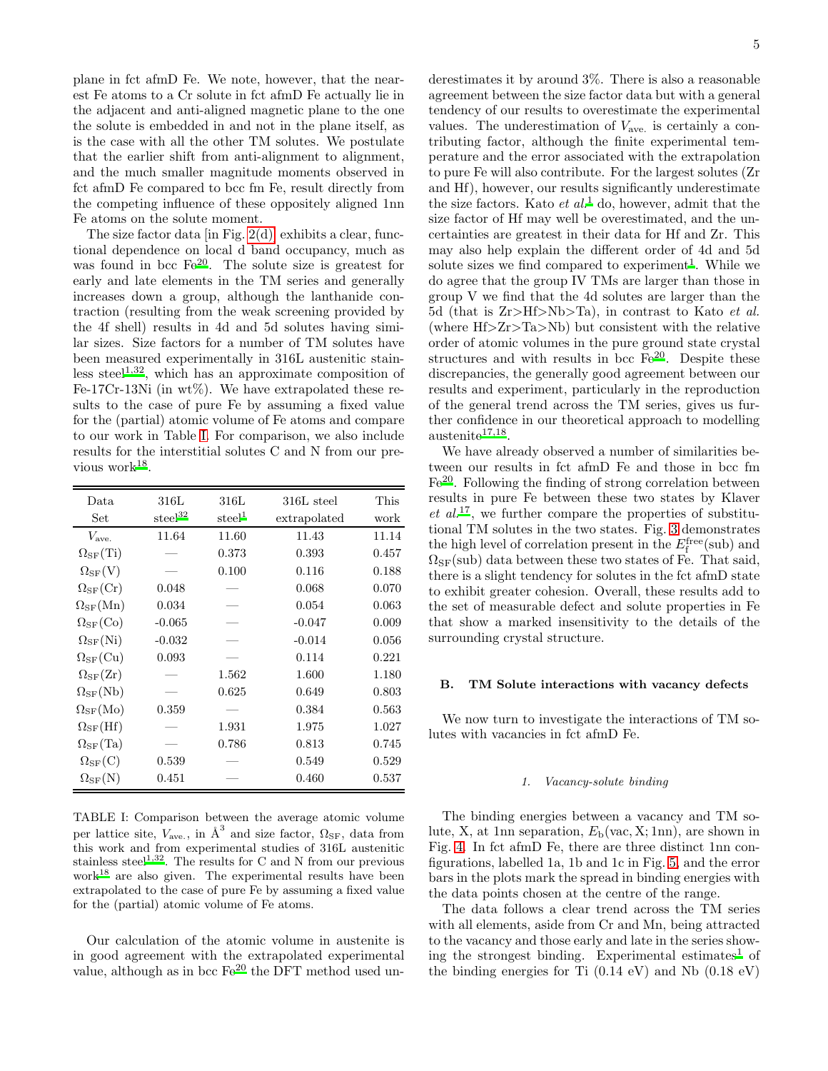plane in fct afmD Fe. We note, however, that the nearest Fe atoms to a Cr solute in fct afmD Fe actually lie in the adjacent and anti-aligned magnetic plane to the one the solute is embedded in and not in the plane itself, as is the case with all the other TM solutes. We postulate that the earlier shift from anti-alignment to alignment, and the much smaller magnitude moments observed in fct afmD Fe compared to bcc fm Fe, result directly from the competing influence of these oppositely aligned 1nn Fe atoms on the solute moment.

The size factor data [in Fig.  $2(d)$ ] exhibits a clear, functional dependence on local d band occupancy, much as was found in bcc  $\text{Fe}^{20}$  $\text{Fe}^{20}$  $\text{Fe}^{20}$ . The solute size is greatest for early and late elements in the TM series and generally increases down a group, although the lanthanide contraction (resulting from the weak screening provided by the 4f shell) results in 4d and 5d solutes having similar sizes. Size factors for a number of TM solutes have been measured experimentally in 316L austenitic stain-less steel<sup>[1](#page-17-2)[,32](#page-19-4)</sup>, which has an approximate composition of Fe-17Cr-13Ni (in  $wt\%$ ). We have extrapolated these results to the case of pure Fe by assuming a fixed value for the (partial) atomic volume of Fe atoms and compare to our work in Table [I.](#page-4-1) For comparison, we also include results for the interstitial solutes C and N from our pre-vious work<sup>[18](#page-18-14)</sup>.

| Data                             | 316L                | 316L               | 316L steel   | This  |
|----------------------------------|---------------------|--------------------|--------------|-------|
| Set                              | steel <sup>32</sup> | $\mathrm{steel}^1$ | extrapolated | work  |
| $V_{\text{ave}}$                 | 11.64               | 11.60              | 11.43        | 11.14 |
| $\Omega_{\rm SF}(\rm Ti)$        |                     | 0.373              | 0.393        | 0.457 |
| $\Omega_{\rm SF}(\rm V)$         |                     | 0.100              | 0.116        | 0.188 |
| $\Omega_{\rm SF}(\mathrm{Cr})$   | 0.048               |                    | 0.068        | 0.070 |
| $\Omega_{\rm SF}(\rm Mn)$        | 0.034               |                    | 0.054        | 0.063 |
| $\Omega_{\rm SF}({\rm Co})$      | $-0.065$            |                    | $-0.047$     | 0.009 |
| $\Omega_{\rm SF}(\rm Ni)$        | $-0.032$            |                    | $-0.014$     | 0.056 |
| $\Omega_{\rm SF}({\rm Cu})$      | 0.093               |                    | 0.114        | 0.221 |
| $\Omega_{\rm SF}(\rm Zr)$        |                     | 1.562              | 1.600        | 1.180 |
| $\Omega_{\rm SF}({\rm Nb})$      |                     | 0.625              | 0.649        | 0.803 |
| $\Omega_{\rm SF}(\rm Mo)$        | 0.359               |                    | 0.384        | 0.563 |
| $\Omega_{\rm SF}(\rm Hf)$        |                     | 1.931              | 1.975        | 1.027 |
| $\Omega_{\rm SF}({\rm Ta})$      |                     | 0.786              | 0.813        | 0.745 |
| $\Omega_{\rm SF}({\rm C})$       | 0.539               |                    | 0.549        | 0.529 |
| $\Omega_\mathrm{SF}(\mathrm{N})$ | 0.451               |                    | 0.460        | 0.537 |

<span id="page-4-1"></span>

| TABLE I: Comparison between the average atomic volume                                                    |
|----------------------------------------------------------------------------------------------------------|
| per lattice site, $V_{\text{ave}}$ , in $\text{\AA}^3$ and size factor, $\Omega_{\text{SF}}$ , data from |
| this work and from experimental studies of 316L austenitic                                               |
| stainless steel <sup>1,32</sup> . The results for C and N from our previous                              |
| work <sup>18</sup> are also given. The experimental results have been                                    |
| extrapolated to the case of pure Fe by assuming a fixed value                                            |
| for the (partial) atomic volume of Fe atoms.                                                             |

Our calculation of the atomic volume in austenite is in good agreement with the extrapolated experimental value, although as in bcc Fe<sup>[20](#page-18-6)</sup> the DFT method used underestimates it by around 3%. There is also a reasonable agreement between the size factor data but with a general tendency of our results to overestimate the experimental values. The underestimation of  $V_{\text{ave}}$  is certainly a contributing factor, although the finite experimental temperature and the error associated with the extrapolation to pure Fe will also contribute. For the largest solutes (Zr and Hf), however, our results significantly underestimate the size factors. Kato *et al.*<sup>[1](#page-17-2)</sup> do, however, admit that the size factor of Hf may well be overestimated, and the uncertainties are greatest in their data for Hf and Zr. This may also help explain the different order of 4d and 5d solute sizes we find compared to experiment<sup>[1](#page-17-2)</sup>. While we do agree that the group IV TMs are larger than those in group V we find that the 4d solutes are larger than the 5d (that is Zr>Hf>Nb>Ta), in contrast to Kato et al. (where Hf>Zr>Ta>Nb) but consistent with the relative order of atomic volumes in the pure ground state crystal structur[e](#page-18-6)s and with results in bcc  $Fe^{20}$ . Despite these discrepancies, the generally good agreement between our results and experiment, particularly in the reproduction of the general trend across the TM series, gives us further confidence in our theoretical approach to modelling  $a$ ustenite<sup>[17](#page-18-4)[,18](#page-18-14)</sup>.

We have already observed a number of similarities between our results in fct afmD Fe and those in bcc fm F[e](#page-18-6)<sup>20</sup>. Following the finding of strong correlation between results in pure Fe between these two states by Klaver  $et \ al.<sup>17</sup>$  $et \ al.<sup>17</sup>$  $et \ al.<sup>17</sup>$ , we further compare the properties of substitutional TM solutes in the two states. Fig. [3](#page-5-0) demonstrates the high level of correlation present in the  $E_f^{\text{free}}(\text{sub})$  and  $\Omega_{\rm SF}(\mathrm{sub})$  data between these two states of Fe. That said, there is a slight tendency for solutes in the fct afmD state to exhibit greater cohesion. Overall, these results add to the set of measurable defect and solute properties in Fe that show a marked insensitivity to the details of the surrounding crystal structure.

#### <span id="page-4-0"></span>B. TM Solute interactions with vacancy defects

We now turn to investigate the interactions of TM solutes with vacancies in fct afmD Fe.

#### 1. Vacancy-solute binding

The binding energies between a vacancy and TM solute, X, at 1nn separation,  $E<sub>b</sub>(vac, X; 1nn)$ , are shown in Fig. [4.](#page-5-1) In fct afmD Fe, there are three distinct 1nn configurations, labelled 1a, 1b and 1c in Fig. [5,](#page-6-0) and the error bars in the plots mark the spread in binding energies with the data points chosen at the centre of the range.

The data follows a clear trend across the TM series with all elements, aside from Cr and Mn, being attracted to the vacancy and those early and late in the series show-ing the strongest binding. Experimental estimates<sup>[1](#page-17-2)</sup> of the binding energies for Ti  $(0.14 \text{ eV})$  and Nb  $(0.18 \text{ eV})$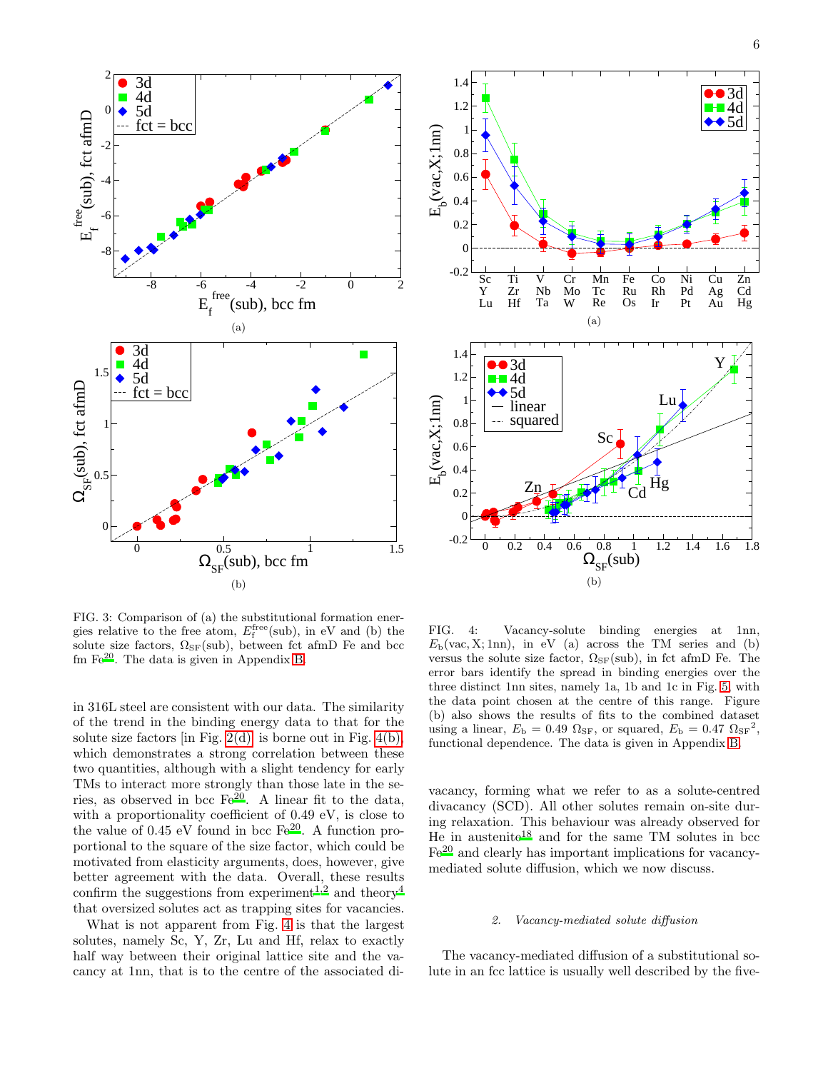

<span id="page-5-0"></span>FIG. 3: Comparison of (a) the substitutional formation energies relative to the free atom,  $E_f^{\text{free}}(\text{sub})$ , in eV and (b) the solute size factors,  $\Omega_{\rm SF}(\text{sub})$ , between fct afmD Fe and bcc fm  $Fe^{20}$  $Fe^{20}$  $Fe^{20}$ . The data is given in Appendix [B.](#page-17-8)

in 316L steel are consistent with our data. The similarity of the trend in the binding energy data to that for the solute size factors  $\left[\text{in Fig. 2(d)}\right]$  is borne out in Fig. [4\(b\),](#page-5-2) which demonstrates a strong correlation between these two quantities, although with a slight tendency for early TMs to interact more strongly than those late in the series, as observed in bcc  $\text{Fe}^{20}$  $\text{Fe}^{20}$  $\text{Fe}^{20}$ . A linear fit to the data, with a proportionality coefficient of 0.49 eV, is close to the value of  $0.45$  eV found in bcc  $\text{Fe}^{20}$  $\text{Fe}^{20}$  $\text{Fe}^{20}$ . A function proportional to the square of the size factor, which could be motivated from elasticity arguments, does, however, give better agreement with the data. Overall, these results confirm the suggestions from experiment<sup>[1](#page-17-2)[,2](#page-17-3)</sup> and theory<sup>[4](#page-17-5)</sup> that oversized solutes act as trapping sites for vacancies.

What is not apparent from Fig. [4](#page-5-1) is that the largest solutes, namely Sc, Y, Zr, Lu and Hf, relax to exactly half way between their original lattice site and the vacancy at 1nn, that is to the centre of the associated di-



<span id="page-5-2"></span><span id="page-5-1"></span>FIG. 4: Vacancy-solute binding energies at 1nn,  $E<sub>b</sub>(\text{vac}, X; 1nn)$ , in eV (a) across the TM series and (b) versus the solute size factor,  $\Omega_{\rm SF}(\rm sub)$ , in fct afmD Fe. The error bars identify the spread in binding energies over the three distinct 1nn sites, namely 1a, 1b and 1c in Fig. [5,](#page-6-0) with the data point chosen at the centre of this range. Figure (b) also shows the results of fits to the combined dataset using a linear,  $E_{\rm b} = 0.49 \Omega_{\rm SF}$ , or squared,  $E_{\rm b} = 0.47 \Omega_{\rm SF}^2$ , functional dependence. The data is given in Appendix [B.](#page-17-8)

vacancy, forming what we refer to as a solute-centred divacancy (SCD). All other solutes remain on-site during relaxation. This behaviour was already observed for He in austenite<sup>[18](#page-18-14)</sup> and for the same TM solutes in bcc  $Fe<sup>20</sup>$  $Fe<sup>20</sup>$  $Fe<sup>20</sup>$  and clearly has important implications for vacancymediated solute diffusion, which we now discuss.

#### 2. Vacancy-mediated solute diffusion

The vacancy-mediated diffusion of a substitutional solute in an fcc lattice is usually well described by the five-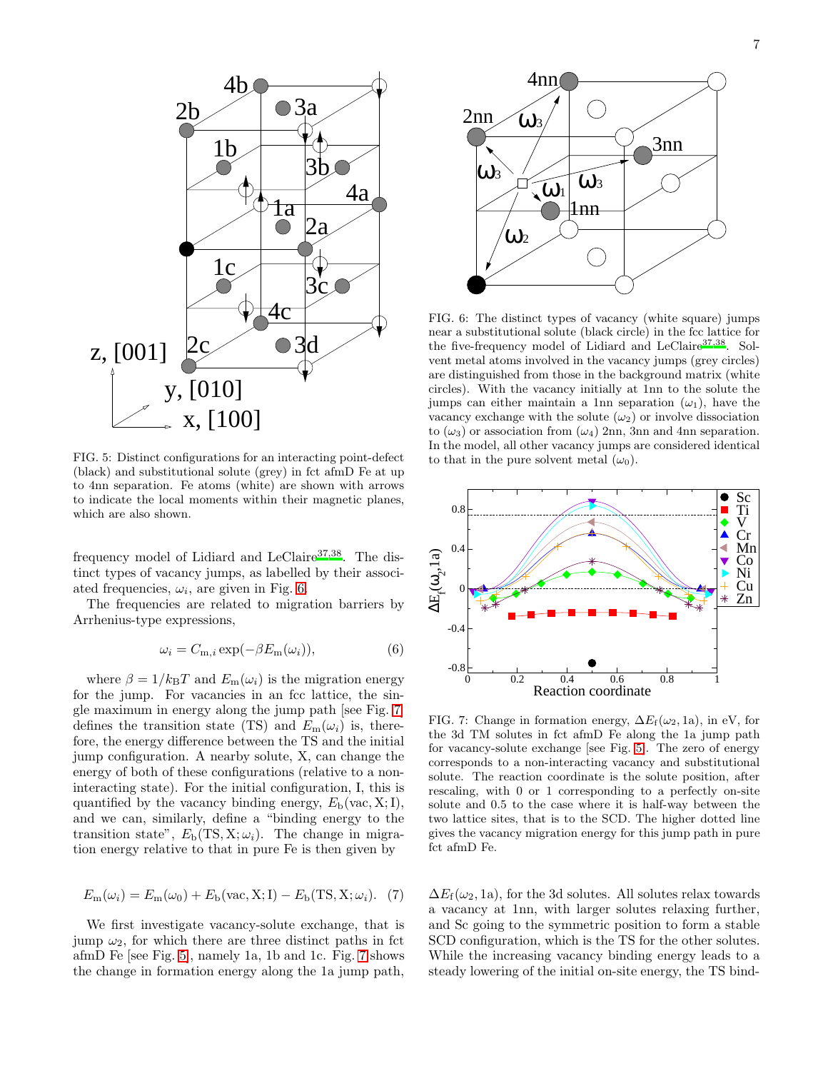

<span id="page-6-0"></span>FIG. 5: Distinct configurations for an interacting point-defect (black) and substitutional solute (grey) in fct afmD Fe at up to 4nn separation. Fe atoms (white) are shown with arrows to indicate the local moments within their magnetic planes, which are also shown.

frequency model of Lidiard and LeClaire<sup>[37](#page-19-9)[,38](#page-19-10)</sup>. The distinct types of vacancy jumps, as labelled by their associated frequencies,  $\omega_i$ , are given in Fig. [6.](#page-6-1)

The frequencies are related to migration barriers by Arrhenius-type expressions,

$$
\omega_i = C_{m,i} \exp(-\beta E_m(\omega_i)), \tag{6}
$$

where  $\beta = 1/k_BT$  and  $E_m(\omega_i)$  is the migration energy for the jump. For vacancies in an fcc lattice, the single maximum in energy along the jump path [see Fig. [7\]](#page-6-2) defines the transition state (TS) and  $E_m(\omega_i)$  is, therefore, the energy difference between the TS and the initial jump configuration. A nearby solute, X, can change the energy of both of these configurations (relative to a noninteracting state). For the initial configuration, I, this is quantified by the vacancy binding energy,  $E<sub>b</sub>(\text{vac}, X; I)$ , and we can, similarly, define a "binding energy to the transition state",  $E_{\rm b}(\rm{TS}, \rm{X}; \omega_i)$ . The change in migration energy relative to that in pure Fe is then given by

<span id="page-6-3"></span>
$$
E_{\rm m}(\omega_i) = E_{\rm m}(\omega_0) + E_{\rm b}(\text{vac}, \mathbf{X}; \mathbf{I}) - E_{\rm b}(\mathbf{TS}, \mathbf{X}; \omega_i). \tag{7}
$$

We first investigate vacancy-solute exchange, that is jump  $\omega_2$ , for which there are three distinct paths in fct afmD Fe [see Fig. [5\]](#page-6-0), namely 1a, 1b and 1c. Fig. [7](#page-6-2) shows the change in formation energy along the 1a jump path,



<span id="page-6-1"></span>FIG. 6: The distinct types of vacancy (white square) jumps near a substitutional solute (black circle) in the fcc lattice for the five-frequency model of Lidiard and LeClaire<sup>[37](#page-19-9)[,38](#page-19-10)</sup>. Solvent metal atoms involved in the vacancy jumps (grey circles) are distinguished from those in the background matrix (white circles). With the vacancy initially at 1nn to the solute the jumps can either maintain a 1nn separation  $(\omega_1)$ , have the vacancy exchange with the solute  $(\omega_2)$  or involve dissociation to  $(\omega_3)$  or association from  $(\omega_4)$  2nn, 3nn and 4nn separation. In the model, all other vacancy jumps are considered identical to that in the pure solvent metal  $(\omega_0)$ .



<span id="page-6-2"></span>FIG. 7: Change in formation energy,  $\Delta E_f(\omega_2, 1a)$ , in eV, for the 3d TM solutes in fct afmD Fe along the 1a jump path for vacancy-solute exchange [see Fig. [5\]](#page-6-0). The zero of energy corresponds to a non-interacting vacancy and substitutional solute. The reaction coordinate is the solute position, after rescaling, with 0 or 1 corresponding to a perfectly on-site solute and 0.5 to the case where it is half-way between the two lattice sites, that is to the SCD. The higher dotted line gives the vacancy migration energy for this jump path in pure fct afmD Fe.

 $\Delta E_f(\omega_2, 1a)$ , for the 3d solutes. All solutes relax towards a vacancy at 1nn, with larger solutes relaxing further, and Sc going to the symmetric position to form a stable SCD configuration, which is the TS for the other solutes. While the increasing vacancy binding energy leads to a steady lowering of the initial on-site energy, the TS bind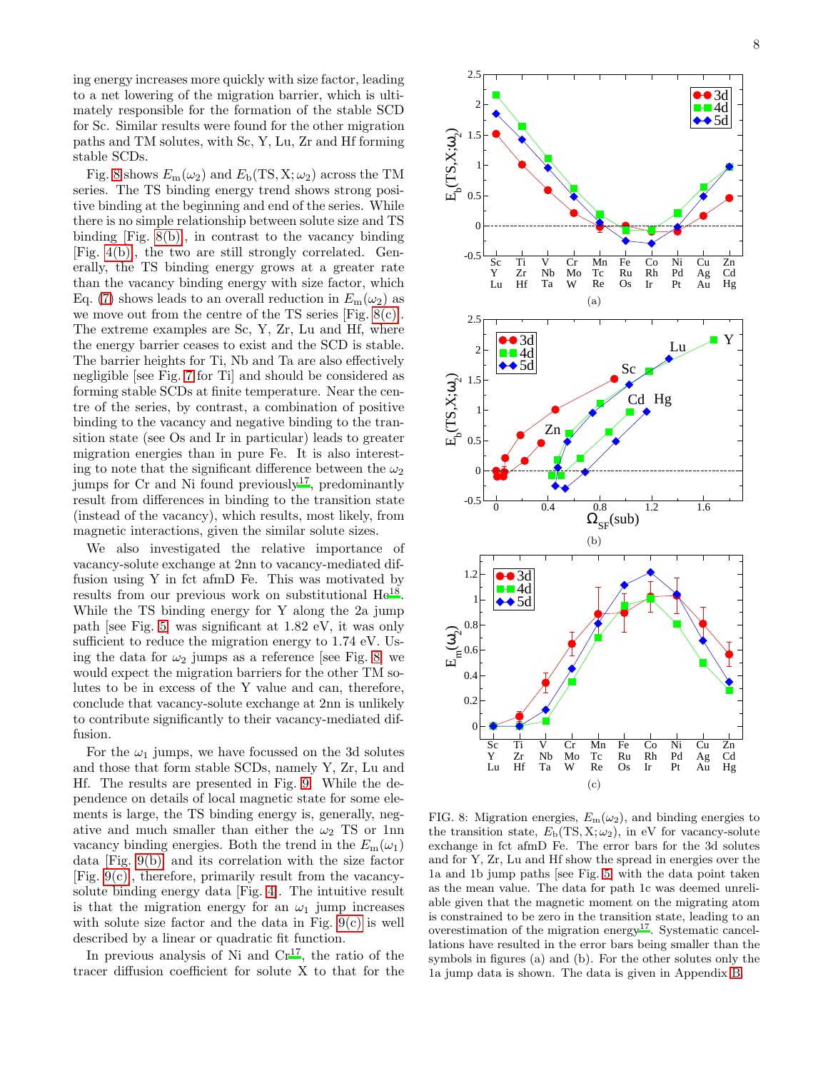ing energy increases more quickly with size factor, leading to a net lowering of the migration barrier, which is ultimately responsible for the formation of the stable SCD for Sc. Similar results were found for the other migration paths and TM solutes, with Sc, Y, Lu, Zr and Hf forming stable SCDs.

Fig. [8](#page-7-0) shows  $E_m(\omega_2)$  and  $E_b(TS, X; \omega_2)$  across the TM series. The TS binding energy trend shows strong positive binding at the beginning and end of the series. While there is no simple relationship between solute size and TS binding [Fig. [8\(b\)\]](#page-7-1), in contrast to the vacancy binding [Fig. [4\(b\)\]](#page-5-2), the two are still strongly correlated. Generally, the TS binding energy grows at a greater rate than the vacancy binding energy with size factor, which Eq. [\(7\)](#page-6-3) shows leads to an overall reduction in  $E_m(\omega_2)$  as we move out from the centre of the TS series [Fig.  $8(c)$ ]. The extreme examples are Sc, Y, Zr, Lu and Hf, where the energy barrier ceases to exist and the SCD is stable. The barrier heights for Ti, Nb and Ta are also effectively negligible [see Fig. [7](#page-6-2) for Ti] and should be considered as forming stable SCDs at finite temperature. Near the centre of the series, by contrast, a combination of positive binding to the vacancy and negative binding to the transition state (see Os and Ir in particular) leads to greater migration energies than in pure Fe. It is also interesting to note that the significant difference between the  $\omega_2$ jumps for  $Cr$  and  $Ni$  found previously<sup>[17](#page-18-4)</sup>, predominantly result from differences in binding to the transition state (instead of the vacancy), which results, most likely, from magnetic interactions, given the similar solute sizes.

We also investigated the relative importance of vacancy-solute exchange at 2nn to vacancy-mediated diffusion using Y in fct afmD Fe. This was motivated by results from our previous work on substitutional He<sup>[18](#page-18-14)</sup>. While the TS binding energy for Y along the 2a jump path [see Fig. [5\]](#page-6-0) was significant at 1.82 eV, it was only sufficient to reduce the migration energy to 1.74 eV. Using the data for  $\omega_2$  jumps as a reference [see Fig. [8\]](#page-7-0) we would expect the migration barriers for the other TM solutes to be in excess of the Y value and can, therefore, conclude that vacancy-solute exchange at 2nn is unlikely to contribute significantly to their vacancy-mediated diffusion.

For the  $\omega_1$  jumps, we have focussed on the 3d solutes and those that form stable SCDs, namely Y, Zr, Lu and Hf. The results are presented in Fig. [9.](#page-8-0) While the dependence on details of local magnetic state for some elements is large, the TS binding energy is, generally, negative and much smaller than either the  $\omega_2$  TS or 1nn vacancy binding energies. Both the trend in the  $E_m(\omega_1)$ data [Fig. [9\(b\)\]](#page-8-1) and its correlation with the size factor [Fig.  $9(c)$ ], therefore, primarily result from the vacancysolute binding energy data [Fig. [4\]](#page-5-1). The intuitive result is that the migration energy for an  $\omega_1$  jump increases with solute size factor and the data in Fig.  $9(c)$  is well described by a linear or quadratic fit function.

In previous analysis of Ni and  $Cr^{17}$  $Cr^{17}$  $Cr^{17}$ , the ratio of the tracer diffusion coefficient for solute X to that for the



<span id="page-7-2"></span><span id="page-7-1"></span><span id="page-7-0"></span>FIG. 8: Migration energies,  $E_m(\omega_2)$ , and binding energies to the transition state,  $E_b(TS, X; \omega_2)$ , in eV for vacancy-solute exchange in fct afmD Fe. The error bars for the 3d solutes and for Y, Zr, Lu and Hf show the spread in energies over the 1a and 1b jump paths [see Fig. [5\]](#page-6-0) with the data point taken as the mean value. The data for path 1c was deemed unreliable given that the magnetic moment on the migrating atom is constrained to be zero in the transition state, leading to an overestimation of the migration energy<sup>[17](#page-18-4)</sup>. Systematic cancellations have resulted in the error bars being smaller than the symbols in figures (a) and (b). For the other solutes only the 1a jump data is shown. The data is given in Appendix [B.](#page-17-8)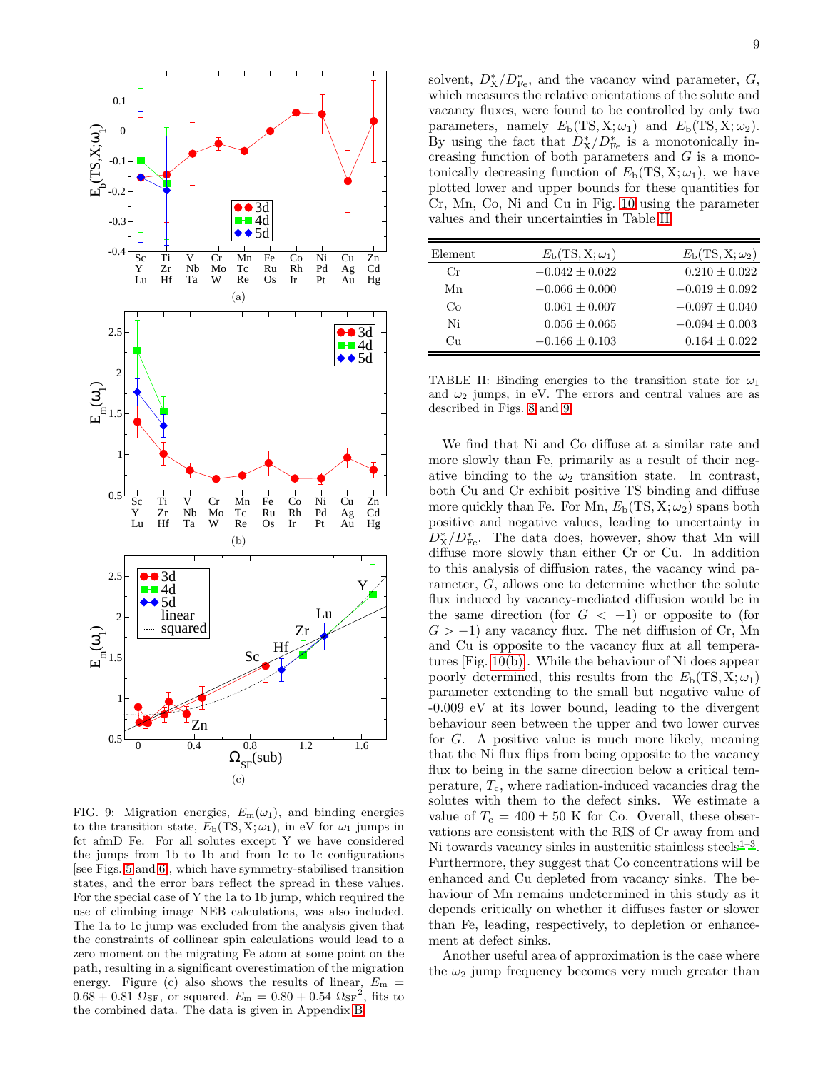<span id="page-8-4"></span>

<span id="page-8-2"></span><span id="page-8-1"></span><span id="page-8-0"></span>FIG. 9: Migration energies,  $E_m(\omega_1)$ , and binding energies to the transition state,  $E_b(TS, X; \omega_1)$ , in eV for  $\omega_1$  jumps in fct afmD Fe. For all solutes except Y we have considered the jumps from 1b to 1b and from 1c to 1c configurations [see Figs. [5](#page-6-0) and [6\]](#page-6-1), which have symmetry-stabilised transition states, and the error bars reflect the spread in these values. For the special case of Y the 1a to 1b jump, which required the use of climbing image NEB calculations, was also included. The 1a to 1c jump was excluded from the analysis given that the constraints of collinear spin calculations would lead to a zero moment on the migrating Fe atom at some point on the path, resulting in a significant overestimation of the migration energy. Figure (c) also shows the results of linear,  $E_m =$  $0.68 + 0.81 \Omega_{\rm SF}$ , or squared,  $E_{\rm m} = 0.80 + 0.54 \Omega_{\rm SF}^2$ , fits to the combined data. The data is given in Appendix [B.](#page-17-8)

solvent,  $D^*_{\mathbf{X}}/D^*_{\mathbf{Fe}}$ , and the vacancy wind parameter,  $G$ , which measures the relative orientations of the solute and vacancy fluxes, were found to be controlled by only two parameters, namely  $E_b(TS, X; \omega_1)$  and  $E_b(TS, X; \omega_2)$ . By using the fact that  $D_X^*/D_{\text{Fe}}^*$  is a monotonically increasing function of both parameters and  $G$  is a monotonically decreasing function of  $E<sub>b</sub>(TS, X; \omega<sub>1</sub>)$ , we have plotted lower and upper bounds for these quantities for Cr, Mn, Co, Ni and Cu in Fig. [10](#page-9-0) using the parameter values and their uncertainties in Table [II.](#page-8-3)

| Element | $E_{\rm b}(\rm{TS}, \rm{X}; \omega_1)$ | $E_{\rm b}$ (TS, X; $\omega_2$ ) |
|---------|----------------------------------------|----------------------------------|
| Сr      | $-0.042 \pm 0.022$                     | $0.210 \pm 0.022$                |
| Mn      | $-0.066 \pm 0.000$                     | $-0.019 \pm 0.092$               |
| Co      | $0.061 \pm 0.007$                      | $-0.097 \pm 0.040$               |
| Ni      | $0.056 \pm 0.065$                      | $-0.094 \pm 0.003$               |
| Cп      | $-0.166 \pm 0.103$                     | $0.164 \pm 0.022$                |

<span id="page-8-3"></span>TABLE II: Binding energies to the transition state for  $\omega_1$ and  $\omega_2$  jumps, in eV. The errors and central values are as described in Figs. [8](#page-7-0) and [9.](#page-8-0)

We find that Ni and Co diffuse at a similar rate and more slowly than Fe, primarily as a result of their negative binding to the  $\omega_2$  transition state. In contrast, both Cu and Cr exhibit positive TS binding and diffuse more quickly than Fe. For Mn,  $E_b(TS, X; \omega_2)$  spans both positive and negative values, leading to uncertainty in  $D_{\text{X}}^{*}/D_{\text{Fe}}^{*}$ . The data does, however, show that Mn will diffuse more slowly than either Cr or Cu. In addition to this analysis of diffusion rates, the vacancy wind parameter, G, allows one to determine whether the solute flux induced by vacancy-mediated diffusion would be in the same direction (for  $G < -1$ ) or opposite to (for  $G > -1$ ) any vacancy flux. The net diffusion of Cr, Mn and Cu is opposite to the vacancy flux at all temperatures [Fig. [10\(b\)\]](#page-9-1). While the behaviour of Ni does appear poorly determined, this results from the  $E_b(TS, X; \omega_1)$ parameter extending to the small but negative value of -0.009 eV at its lower bound, leading to the divergent behaviour seen between the upper and two lower curves for G. A positive value is much more likely, meaning that the Ni flux flips from being opposite to the vacancy flux to being in the same direction below a critical temperature,  $T_c$ , where radiation-induced vacancies drag the solutes with them to the defect sinks. We estimate a value of  $T_c = 400 \pm 50$  K for Co. Overall, these observations are consistent with the RIS of Cr away from and Ni towards vacancy sinks in austenitic stainless steels $1-3$  $1-3$ . Furthermore, they suggest that Co concentrations will be enhanced and Cu depleted from vacancy sinks. The behaviour of Mn remains undetermined in this study as it depends critically on whether it diffuses faster or slower than Fe, leading, respectively, to depletion or enhancement at defect sinks.

Another useful area of approximation is the case where the  $\omega_2$  jump frequency becomes very much greater than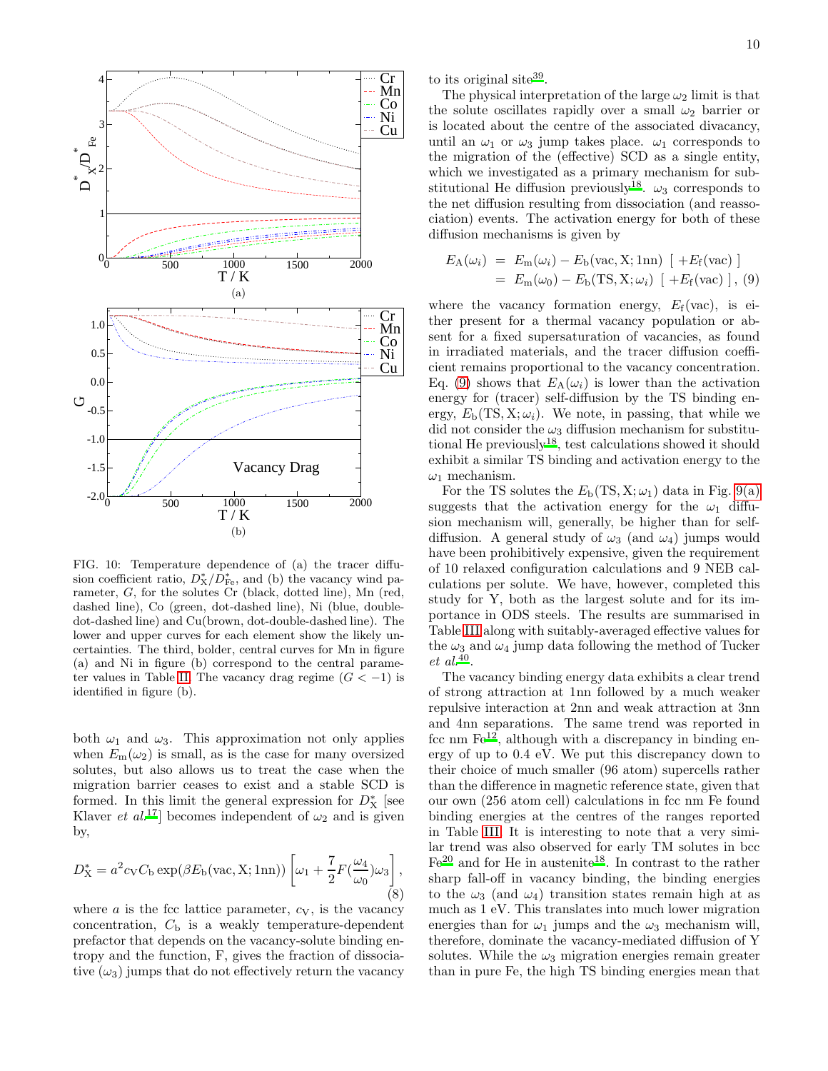

<span id="page-9-1"></span><span id="page-9-0"></span>FIG. 10: Temperature dependence of (a) the tracer diffusion coefficient ratio,  $D_X^*/D_{\text{Fe}}^*$ , and (b) the vacancy wind parameter, G, for the solutes Cr (black, dotted line), Mn (red, dashed line), Co (green, dot-dashed line), Ni (blue, doubledot-dashed line) and Cu(brown, dot-double-dashed line). The lower and upper curves for each element show the likely uncertainties. The third, bolder, central curves for Mn in figure (a) and Ni in figure (b) correspond to the central parame-ter values in Table [II.](#page-8-3) The vacancy drag regime  $(G < -1)$  is identified in figure (b).

both  $\omega_1$  and  $\omega_3$ . This approximation not only applies when  $E_m(\omega_2)$  is small, as is the case for many oversized solutes, but also allows us to treat the case when the migration barrier ceases to exist and a stable SCD is formed. In this limit the general expression for  $D^*_{\mathbf{X}}$  [see Klaver *et al.*<sup>[17](#page-18-4)</sup> becomes independent of  $\omega_2$  and is given by,

<span id="page-9-3"></span>
$$
D_{\mathbf{X}}^* = a^2 c_{\mathbf{V}} C_{\mathbf{b}} \exp(\beta E_{\mathbf{b}}(\text{vac}, \mathbf{X}; 1\text{nn})) \left[ \omega_1 + \frac{7}{2} F(\frac{\omega_4}{\omega_0}) \omega_3 \right],
$$
\n(8)

where  $a$  is the fcc lattice parameter,  $c_V$ , is the vacancy concentration,  $C<sub>b</sub>$  is a weakly temperature-dependent prefactor that depends on the vacancy-solute binding entropy and the function, F, gives the fraction of dissociative  $(\omega_3)$  jumps that do not effectively return the vacancy to its original site<sup>[39](#page-19-11)</sup>.

The physical interpretation of the large  $\omega_2$  limit is that the solute oscillates rapidly over a small  $\omega_2$  barrier or is located about the centre of the associated divacancy, until an  $\omega_1$  or  $\omega_3$  jump takes place.  $\omega_1$  corresponds to the migration of the (effective) SCD as a single entity, which we investigated as a primary mechanism for sub-stitutional He diffusion previously<sup>[18](#page-18-14)</sup>.  $\omega_3$  corresponds to the net diffusion resulting from dissociation (and reassociation) events. The activation energy for both of these diffusion mechanisms is given by

<span id="page-9-2"></span>
$$
E_{\rm A}(\omega_i) = E_{\rm m}(\omega_i) - E_{\rm b}(\text{vac}, \text{X}; 1 \text{nn}) \left[ +E_{\rm f}(\text{vac}) \right]
$$
  
=  $E_{\rm m}(\omega_0) - E_{\rm b}(\text{TS}, \text{X}; \omega_i) \left[ +E_{\rm f}(\text{vac}) \right], (9)$ 

where the vacancy formation energy,  $E_f(\text{vac})$ , is either present for a thermal vacancy population or absent for a fixed supersaturation of vacancies, as found in irradiated materials, and the tracer diffusion coefficient remains proportional to the vacancy concentration. Eq. [\(9\)](#page-9-2) shows that  $E_A(\omega_i)$  is lower than the activation energy for (tracer) self-diffusion by the TS binding energy,  $E_{\rm b}(\text{TS}, \text{X}; \omega_i)$ . We note, in passing, that while we did not consider the  $\omega_3$  diffusion mechanism for substitutional He previously[18](#page-18-14), test calculations showed it should exhibit a similar TS binding and activation energy to the  $\omega_1$  mechanism.

For the TS solutes the  $E<sub>b</sub>(TS, X; \omega<sub>1</sub>)$  data in Fig. [9\(a\)](#page-8-4) suggests that the activation energy for the  $\omega_1$  diffusion mechanism will, generally, be higher than for selfdiffusion. A general study of  $\omega_3$  (and  $\omega_4$ ) jumps would have been prohibitively expensive, given the requirement of 10 relaxed configuration calculations and 9 NEB calculations per solute. We have, however, completed this study for Y, both as the largest solute and for its importance in ODS steels. The results are summarised in Table [III](#page-10-0) along with suitably-averaged effective values for the  $\omega_3$  and  $\omega_4$  jump data following the method of Tucker  $et \ al.^{40}.$  $et \ al.^{40}.$  $et \ al.^{40}.$ 

The vacancy binding energy data exhibits a clear trend of strong attraction at 1nn followed by a much weaker repulsive interaction at 2nn and weak attraction at 3nn and 4nn separations. The same trend was reported in fcc nm  $\mathrm{Fe}^{12}$  $\mathrm{Fe}^{12}$  $\mathrm{Fe}^{12}$ , although with a discrepancy in binding energy of up to 0.4 eV. We put this discrepancy down to their choice of much smaller (96 atom) supercells rather than the difference in magnetic reference state, given that our own (256 atom cell) calculations in fcc nm Fe found binding energies at the centres of the ranges reported in Table [III.](#page-10-0) It is interesting to note that a very similar trend was also observed for early TM solutes in bcc  $Fe<sup>20</sup>$  $Fe<sup>20</sup>$  $Fe<sup>20</sup>$  and for He in austenite<sup>[18](#page-18-14)</sup>. In contrast to the rather sharp fall-off in vacancy binding, the binding energies to the  $\omega_3$  (and  $\omega_4$ ) transition states remain high at as much as 1 eV. This translates into much lower migration energies than for  $\omega_1$  jumps and the  $\omega_3$  mechanism will, therefore, dominate the vacancy-mediated diffusion of Y solutes. While the  $\omega_3$  migration energies remain greater than in pure Fe, the high TS binding energies mean that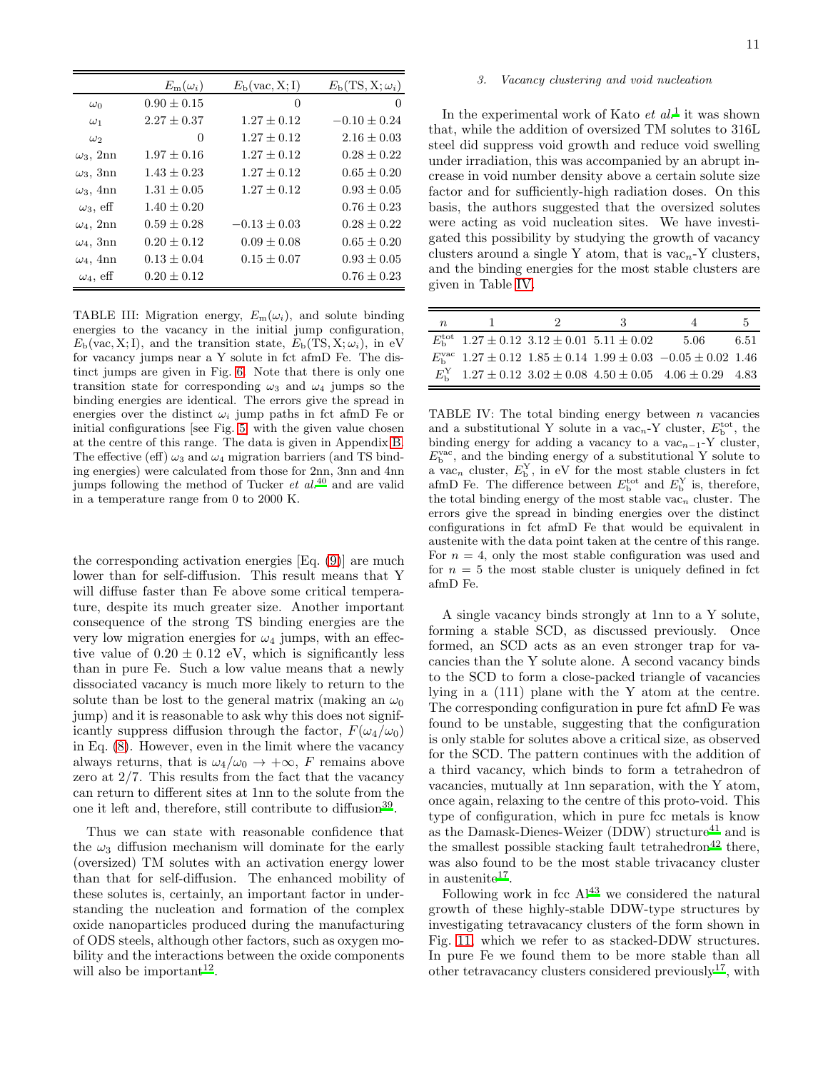|                  | $E_{\rm m}(\omega_i)$ | $E_{\rm b}(vac, X; I)$ | $E_{\rm b}(\rm{TS}, \rm{X}; \omega_i)$ |
|------------------|-----------------------|------------------------|----------------------------------------|
| $\omega_0$       | $0.90 \pm 0.15$       | 0                      | 0                                      |
| $\omega_1$       | $2.27 \pm 0.37$       | $1.27 \pm 0.12$        | $-0.10 \pm 0.24$                       |
| $\omega_2$       | 0                     | $1.27 \pm 0.12$        | $2.16 \pm 0.03$                        |
| $\omega_3$ , 2nn | $1.97 \pm 0.16$       | $1.27 \pm 0.12$        | $0.28 \pm 0.22$                        |
| $\omega_3$ , 3nn | $1.43 \pm 0.23$       | $1.27 \pm 0.12$        | $0.65 \pm 0.20$                        |
| $\omega_3$ , 4nn | $1.31 \pm 0.05$       | $1.27 \pm 0.12$        | $0.93 \pm 0.05$                        |
| $\omega_3$ , eff | $1.40 \pm 0.20$       |                        | $0.76 \pm 0.23$                        |
| $\omega_4$ , 2nn | $0.59 \pm 0.28$       | $-0.13 \pm 0.03$       | $0.28 \pm 0.22$                        |
| $\omega_4$ , 3nn | $0.20 \pm 0.12$       | $0.09 \pm 0.08$        | $0.65 \pm 0.20$                        |
| $\omega_4$ , 4nn | $0.13 \pm 0.04$       | $0.15 \pm 0.07$        | $0.93 \pm 0.05$                        |
| $\omega_4$ , eff | $0.20 \pm 0.12$       |                        | $0.76 \pm 0.23$                        |

<span id="page-10-0"></span>TABLE III: Migration energy,  $E_m(\omega_i)$ , and solute binding energies to the vacancy in the initial jump configuration,  $E<sub>b</sub>(\text{vac}, X; I)$ , and the transition state,  $E<sub>b</sub>(TS, X; \omega<sub>i</sub>)$ , in eV for vacancy jumps near a Y solute in fct afmD Fe. The distinct jumps are given in Fig. [6.](#page-6-1) Note that there is only one transition state for corresponding  $\omega_3$  and  $\omega_4$  jumps so the binding energies are identical. The errors give the spread in energies over the distinct  $\omega_i$  jump paths in fct afmD Fe or initial configurations [see Fig. [5\]](#page-6-0) with the given value chosen at the centre of this range. The data is given in Appendix [B.](#page-17-8) The effective (eff)  $\omega_3$  and  $\omega_4$  migration barriers (and TS binding energies) were calculated from those for 2nn, 3nn and 4nn jumps following the method of Tucker  $et \ al.<sup>40</sup>$  $et \ al.<sup>40</sup>$  $et \ al.<sup>40</sup>$  and are valid in a temperature range from 0 to 2000 K.

the corresponding activation energies [Eq. [\(9\)](#page-9-2)] are much lower than for self-diffusion. This result means that Y will diffuse faster than Fe above some critical temperature, despite its much greater size. Another important consequence of the strong TS binding energies are the very low migration energies for  $\omega_4$  jumps, with an effective value of  $0.20 \pm 0.12$  eV, which is significantly less than in pure Fe. Such a low value means that a newly dissociated vacancy is much more likely to return to the solute than be lost to the general matrix (making an  $\omega_0$ jump) and it is reasonable to ask why this does not significantly suppress diffusion through the factor,  $F(\omega_4/\omega_0)$ in Eq. [\(8\)](#page-9-3). However, even in the limit where the vacancy always returns, that is  $\omega_4/\omega_0 \rightarrow +\infty$ , F remains above zero at 2/7. This results from the fact that the vacancy can return to different sites at 1nn to the solute from the one it left and, therefore, still contribute to diffusion<sup>[39](#page-19-11)</sup>.

Thus we can state with reasonable confidence that the  $\omega_3$  diffusion mechanism will dominate for the early (oversized) TM solutes with an activation energy lower than that for self-diffusion. The enhanced mobility of these solutes is, certainly, an important factor in understanding the nucleation and formation of the complex oxide nanoparticles produced during the manufacturing of ODS steels, although other factors, such as oxygen mobility and the interactions between the oxide components will also be important<sup>[12](#page-18-1)</sup>.

#### 3. Vacancy clustering and void nucleation

In the experimental work of Kato  $et \ al.$ <sup>[1](#page-17-2)</sup> it was shown that, while the addition of oversized TM solutes to 316L steel did suppress void growth and reduce void swelling under irradiation, this was accompanied by an abrupt increase in void number density above a certain solute size factor and for sufficiently-high radiation doses. On this basis, the authors suggested that the oversized solutes were acting as void nucleation sites. We have investigated this possibility by studying the growth of vacancy clusters around a single Y atom, that is  $\text{vac}_{n}$ -Y clusters, and the binding energies for the most stable clusters are given in Table [IV.](#page-10-1)

| $n_{\rm}$ |                                                           | ર | $\Lambda$                                                                                   |      |
|-----------|-----------------------------------------------------------|---|---------------------------------------------------------------------------------------------|------|
|           | $E_{\rm b}^{\rm tot}$ 1.27 ± 0.12 3.12 ± 0.01 5.11 ± 0.02 |   | 5.06                                                                                        | 6.51 |
|           |                                                           |   | $E_{\rm b}^{\rm vac}$ 1.27 $\pm$ 0.12 1.85 $\pm$ 0.14 1.99 $\pm$ 0.03 $-0.05 \pm$ 0.02 1.46 |      |
|           |                                                           |   | $E_{\rm b}^{\rm Y}$ 1.27 ± 0.12 3.02 ± 0.08 4.50 ± 0.05 4.06 ± 0.29 4.83                    |      |

<span id="page-10-1"></span>TABLE IV: The total binding energy between  $n$  vacancies and a substitutional Y solute in a vac<sub>n</sub>-Y cluster,  $E_{\rm b}^{\rm tot}$ , the binding energy for adding a vacancy to a vac<sub>n−1</sub>-Y cluster,  $E<sub>b</sub><sup>vac</sup>$ , and the binding energy of a substitutional Y solute to a vac<sub>n</sub> cluster,  $E_{\text{b}}^{Y}$ , in eV for the most stable clusters in fct afmD Fe. The difference between  $E_{\rm b}^{\rm tot}$  and  $E_{\rm b}^{\rm Y}$  is, therefore, the total binding energy of the most stable vac<sub>n</sub> cluster. The errors give the spread in binding energies over the distinct configurations in fct afmD Fe that would be equivalent in austenite with the data point taken at the centre of this range. For  $n = 4$ , only the most stable configuration was used and for  $n = 5$  the most stable cluster is uniquely defined in fct afmD Fe.

A single vacancy binds strongly at 1nn to a Y solute, forming a stable SCD, as discussed previously. Once formed, an SCD acts as an even stronger trap for vacancies than the Y solute alone. A second vacancy binds to the SCD to form a close-packed triangle of vacancies lying in a (111) plane with the Y atom at the centre. The corresponding configuration in pure fct afmD Fe was found to be unstable, suggesting that the configuration is only stable for solutes above a critical size, as observed for the SCD. The pattern continues with the addition of a third vacancy, which binds to form a tetrahedron of vacancies, mutually at 1nn separation, with the Y atom, once again, relaxing to the centre of this proto-void. This type of configuration, which in pure fcc metals is know as the Damask-Dienes-Weizer (DDW) structure<sup>[41](#page-19-13)</sup> and is the smallest possible stacking fault tetrahedron<sup>[42](#page-19-14)</sup> there, was also found to be the most stable trivacancy cluster in austenite<sup>[17](#page-18-4)</sup>.

Following work in fcc  $Al^{43}$  $Al^{43}$  $Al^{43}$  we considered the natural growth of these highly-stable DDW-type structures by investigating tetravacancy clusters of the form shown in Fig. [11,](#page-11-1) which we refer to as stacked-DDW structures. In pure Fe we found them to be more stable than all other tetravacancy clusters considered previously<sup>[17](#page-18-4)</sup>, with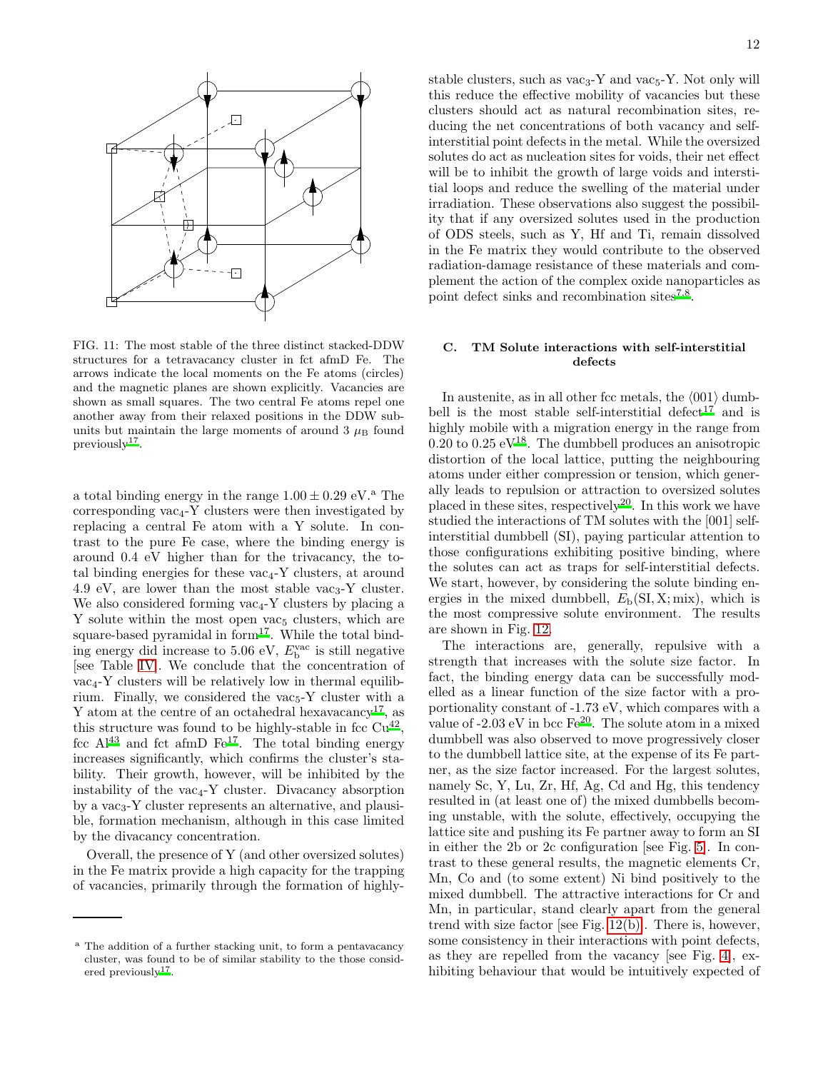

<span id="page-11-1"></span>FIG. 11: The most stable of the three distinct stacked-DDW structures for a tetravacancy cluster in fct afmD Fe. The arrows indicate the local moments on the Fe atoms (circles) and the magnetic planes are shown explicitly. Vacancies are shown as small squares. The two central Fe atoms repel one another away from their relaxed positions in the DDW subunits but maintain the large moments of around  $3 \mu_{\rm B}$  found  $previously<sup>17</sup>$  $previously<sup>17</sup>$  $previously<sup>17</sup>$ .

a total binding energy in the range  $1.00 \pm 0.29$  eV.<sup>a</sup> The corresponding  $\text{vac}_4$ -Y clusters were then investigated by replacing a central Fe atom with a Y solute. In contrast to the pure Fe case, where the binding energy is around 0.4 eV higher than for the trivacancy, the total binding energies for these  $\text{vac}_4$ -Y clusters, at around 4.9 eV, are lower than the most stable vac<sub>3</sub>-Y cluster. We also considered forming vac<sub>4</sub>-Y clusters by placing a Y solute within the most open vac<sub>5</sub> clusters, which are square-based pyramidal in form $17$ . While the total binding energy did increase to 5.06 eV,  $E_{\rm b}^{\rm vac}$  is still negative [see Table [IV\]](#page-10-1). We conclude that the concentration of  $vac_{4}$ -Y clusters will be relatively low in thermal equilibrium. Finally, we considered the  $\text{vac}_5$ -Y cluster with a Y atom at the centre of an octahedral hexavacancy<sup>[17](#page-18-4)</sup>, as this structure was found to be highly-stable in fcc  $Cu^{42}$  $Cu^{42}$  $Cu^{42}$ , fcc  $Al^{43}$  $Al^{43}$  $Al^{43}$  and fct afmD  $Fe^{17}$  $Fe^{17}$  $Fe^{17}$ . The total binding energy increases significantly, which confirms the cluster's stability. Their growth, however, will be inhibited by the instability of the vac<sub>4</sub>-Y cluster. Divacancy absorption by a vac<sub>3</sub>-Y cluster represents an alternative, and plausible, formation mechanism, although in this case limited by the divacancy concentration.

Overall, the presence of Y (and other oversized solutes) in the Fe matrix provide a high capacity for the trapping of vacancies, primarily through the formation of highlystable clusters, such as  $\text{vac}_3$ -Y and  $\text{vac}_5$ -Y. Not only will this reduce the effective mobility of vacancies but these clusters should act as natural recombination sites, reducing the net concentrations of both vacancy and selfinterstitial point defects in the metal. While the oversized solutes do act as nucleation sites for voids, their net effect will be to inhibit the growth of large voids and interstitial loops and reduce the swelling of the material under irradiation. These observations also suggest the possibility that if any oversized solutes used in the production of ODS steels, such as Y, Hf and Ti, remain dissolved in the Fe matrix they would contribute to the observed radiation-damage resistance of these materials and complement the action of the complex oxide nanoparticles as point defect sinks and recombination sites<sup>[7](#page-17-7)[,8](#page-18-0)</sup>.

# <span id="page-11-0"></span>C. TM Solute interactions with self-interstitial defects

In austenite, as in all other fcc metals, the  $\langle 001 \rangle$  dumb-bell is the most stable self-interstitial defect<sup>[17](#page-18-4)</sup> and is highly mobile with a migration energy in the range from  $0.20$  to  $0.25$  e[V](#page-18-14)<sup>18</sup>. The dumbbell produces an anisotropic distortion of the local lattice, putting the neighbouring atoms under either compression or tension, which generally leads to repulsion or attraction to oversized solutes placed in these sites, respectively<sup>[20](#page-18-6)</sup>. In this work we have studied the interactions of TM solutes with the [001] selfinterstitial dumbbell (SI), paying particular attention to those configurations exhibiting positive binding, where the solutes can act as traps for self-interstitial defects. We start, however, by considering the solute binding energies in the mixed dumbbell,  $E<sub>b</sub>(SI, X; mix)$ , which is the most compressive solute environment. The results are shown in Fig. [12.](#page-12-0)

The interactions are, generally, repulsive with a strength that increases with the solute size factor. In fact, the binding energy data can be successfully modelled as a linear function of the size factor with a proportionality constant of -1.73 eV, which compares with a valu[e](#page-18-6) of  $-2.03 \text{ eV}$  in bcc Fe<sup>20</sup>. The solute atom in a mixed dumbbell was also observed to move progressively closer to the dumbbell lattice site, at the expense of its Fe partner, as the size factor increased. For the largest solutes, namely Sc, Y, Lu, Zr, Hf, Ag, Cd and Hg, this tendency resulted in (at least one of) the mixed dumbbells becoming unstable, with the solute, effectively, occupying the lattice site and pushing its Fe partner away to form an SI in either the 2b or 2c configuration [see Fig. [5\]](#page-6-0). In contrast to these general results, the magnetic elements Cr, Mn, Co and (to some extent) Ni bind positively to the mixed dumbbell. The attractive interactions for Cr and Mn, in particular, stand clearly apart from the general trend with size factor [see Fig. [12\(b\)\]](#page-12-1). There is, however, some consistency in their interactions with point defects, as they are repelled from the vacancy [see Fig. [4\]](#page-5-1), exhibiting behaviour that would be intuitively expected of

<sup>a</sup> The addition of a further stacking unit, to form a pentavacancy cluster, was found to be of similar stability to the those consid-ered previously<sup>[17](#page-18-4)</sup>.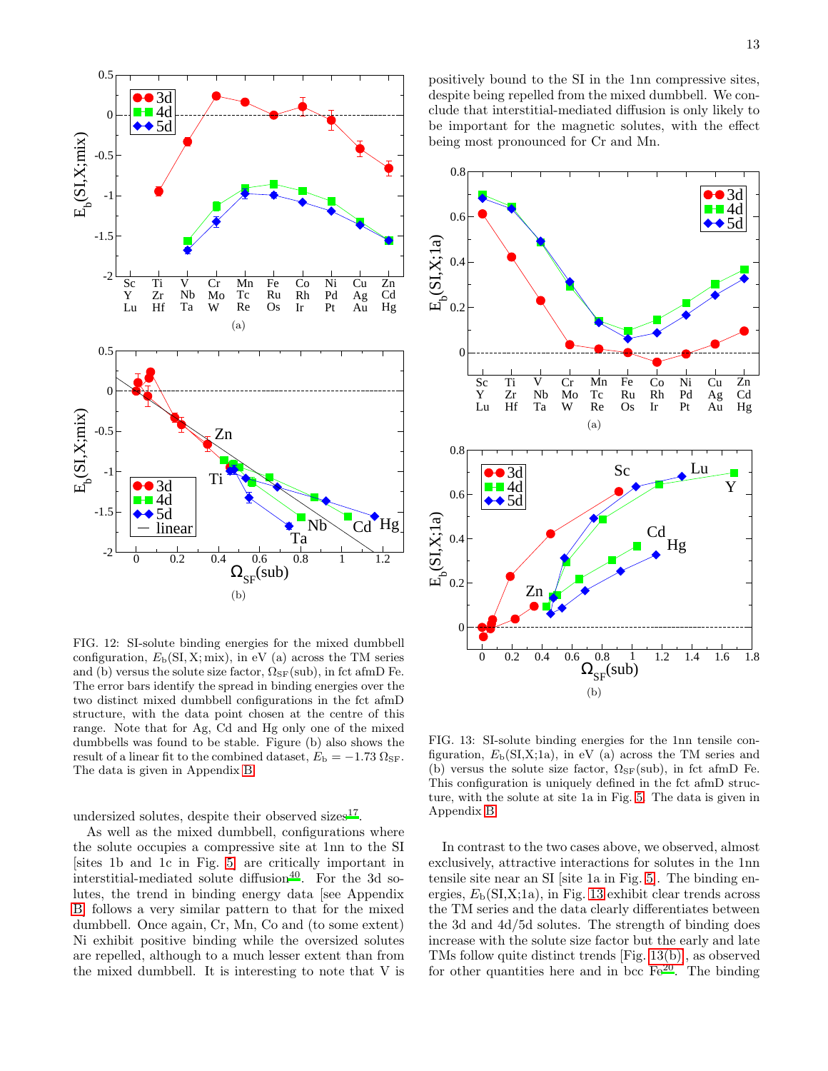

<span id="page-12-1"></span><span id="page-12-0"></span>FIG. 12: SI-solute binding energies for the mixed dumbbell configuration,  $E<sub>b</sub>(SI, X; mix)$ , in eV (a) across the TM series and (b) versus the solute size factor,  $\Omega_{\rm SF}(\text{sub})$ , in fct afmD Fe. The error bars identify the spread in binding energies over the two distinct mixed dumbbell configurations in the fct afmD structure, with the data point chosen at the centre of this range. Note that for Ag, Cd and Hg only one of the mixed dumbbells was found to be stable. Figure (b) also shows the result of a linear fit to the combined dataset,  $E_{\rm b} = -1.73 \Omega_{\rm SF}$ . The data is given in Appendix [B.](#page-17-8)

undersized solutes, despite their observed sizes<sup>[17](#page-18-4)</sup>.

As well as the mixed dumbbell, configurations where the solute occupies a compressive site at 1nn to the SI [sites 1b and 1c in Fig. [5\]](#page-6-0) are critically important in interstitial-mediated solute diffusion<sup>[40](#page-19-12)</sup>. For the 3d solutes, the trend in binding energy data [see Appendix [B\]](#page-17-8) follows a very similar pattern to that for the mixed dumbbell. Once again, Cr, Mn, Co and (to some extent) Ni exhibit positive binding while the oversized solutes are repelled, although to a much lesser extent than from the mixed dumbbell. It is interesting to note that V is

positively bound to the SI in the 1nn compressive sites, despite being repelled from the mixed dumbbell. We conclude that interstitial-mediated diffusion is only likely to be important for the magnetic solutes, with the effect being most pronounced for Cr and Mn.



<span id="page-12-3"></span><span id="page-12-2"></span>FIG. 13: SI-solute binding energies for the 1nn tensile configuration,  $E<sub>b</sub>(SI,X;1a)$ , in eV (a) across the TM series and (b) versus the solute size factor,  $\Omega_{\rm SF}(\text{sub})$ , in fct afmD Fe. This configuration is uniquely defined in the fct afmD structure, with the solute at site 1a in Fig. [5.](#page-6-0) The data is given in Appendix [B.](#page-17-8)

In contrast to the two cases above, we observed, almost exclusively, attractive interactions for solutes in the 1nn tensile site near an SI [site 1a in Fig. [5\]](#page-6-0). The binding energies,  $E<sub>b</sub>(SI,X;1a)$ , in Fig. [13](#page-12-2) exhibit clear trends across the TM series and the data clearly differentiates between the 3d and 4d/5d solutes. The strength of binding does increase with the solute size factor but the early and late TMs follow quite distinct trends [Fig. [13\(b\)\]](#page-12-3), as observed for other quantities here and in bcc  $\text{Fe}^{20}$  $\text{Fe}^{20}$  $\text{Fe}^{20}$ . The binding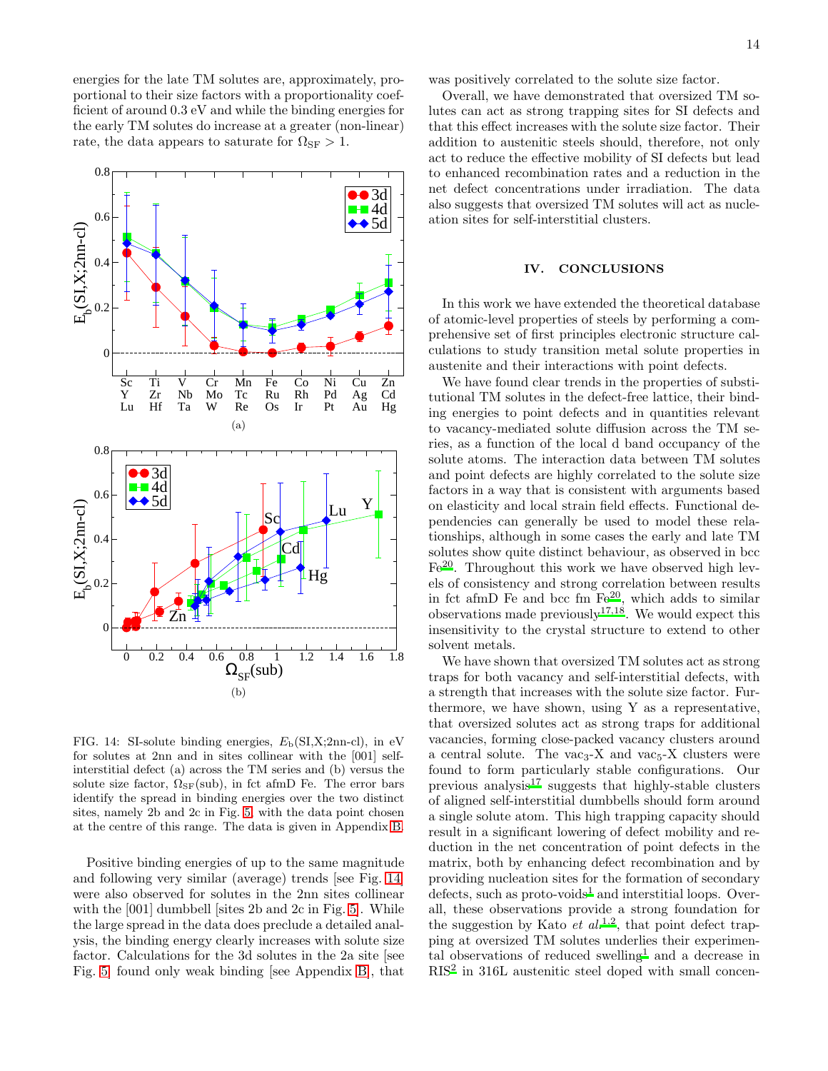energies for the late TM solutes are, approximately, proportional to their size factors with a proportionality coefficient of around 0.3 eV and while the binding energies for the early TM solutes do increase at a greater (non-linear) rate, the data appears to saturate for  $\Omega_{\rm SF} > 1$ .



<span id="page-13-0"></span>FIG. 14: SI-solute binding energies,  $E<sub>b</sub>(SI,X;2nn-cl)$ , in eV for solutes at 2nn and in sites collinear with the [001] selfinterstitial defect (a) across the TM series and (b) versus the solute size factor,  $\Omega_{\rm SF}(\text{sub})$ , in fct afmD Fe. The error bars identify the spread in binding energies over the two distinct sites, namely 2b and 2c in Fig. [5,](#page-6-0) with the data point chosen at the centre of this range. The data is given in Appendix [B.](#page-17-8)

Positive binding energies of up to the same magnitude and following very similar (average) trends [see Fig. [14\]](#page-13-0) were also observed for solutes in the 2nn sites collinear with the [001] dumbbell sites 2b and 2c in Fig. 5. While the large spread in the data does preclude a detailed analysis, the binding energy clearly increases with solute size factor. Calculations for the 3d solutes in the 2a site [see Fig. [5\]](#page-6-0) found only weak binding [see Appendix [B\]](#page-17-8), that

was positively correlated to the solute size factor.

Overall, we have demonstrated that oversized TM solutes can act as strong trapping sites for SI defects and that this effect increases with the solute size factor. Their addition to austenitic steels should, therefore, not only act to reduce the effective mobility of SI defects but lead to enhanced recombination rates and a reduction in the net defect concentrations under irradiation. The data also suggests that oversized TM solutes will act as nucleation sites for self-interstitial clusters.

### IV. CONCLUSIONS

In this work we have extended the theoretical database of atomic-level properties of steels by performing a comprehensive set of first principles electronic structure calculations to study transition metal solute properties in austenite and their interactions with point defects.

We have found clear trends in the properties of substitutional TM solutes in the defect-free lattice, their binding energies to point defects and in quantities relevant to vacancy-mediated solute diffusion across the TM series, as a function of the local d band occupancy of the solute atoms. The interaction data between TM solutes and point defects are highly correlated to the solute size factors in a way that is consistent with arguments based on elasticity and local strain field effects. Functional dependencies can generally be used to model these relationships, although in some cases the early and late TM solutes show quite distinct behaviour, as observed in bcc  $Fe<sup>20</sup>$  $Fe<sup>20</sup>$  $Fe<sup>20</sup>$ . Throughout this work we have observed high levels of consistency and strong correlation between results in fct afmD Fe and bcc fm Fe[20](#page-18-6), which adds to similar observations made previously  $17,18$  $17,18$ . We would expect this insensitivity to the crystal structure to extend to other solvent metals.

We have shown that oversized TM solutes act as strong traps for both vacancy and self-interstitial defects, with a strength that increases with the solute size factor. Furthermore, we have shown, using Y as a representative, that oversized solutes act as strong traps for additional vacancies, forming close-packed vacancy clusters around a central solute. The vac<sub>3</sub>-X and vac<sub>5</sub>-X clusters were found to form particularly stable configurations. Our previous analysis $17$  suggests that highly-stable clusters of aligned self-interstitial dumbbells should form around a single solute atom. This high trapping capacity should result in a significant lowering of defect mobility and reduction in the net concentration of point defects in the matrix, both by enhancing defect recombination and by providing nucleation sites for the formation of secondary  $defects$ , such as proto-voids<sup>[1](#page-17-2)</sup> and interstitial loops. Overall, these observations provide a strong foundation for the suggestion by Kato *et al[.](#page-17-2)*<sup>1[,2](#page-17-3)</sup>, that point defect trapping at oversized TM solutes underlies their experimen-tal observations of reduced swelling<sup>[1](#page-17-2)</sup> and a decrease in RIS[2](#page-17-3) in 316L austenitic steel doped with small concen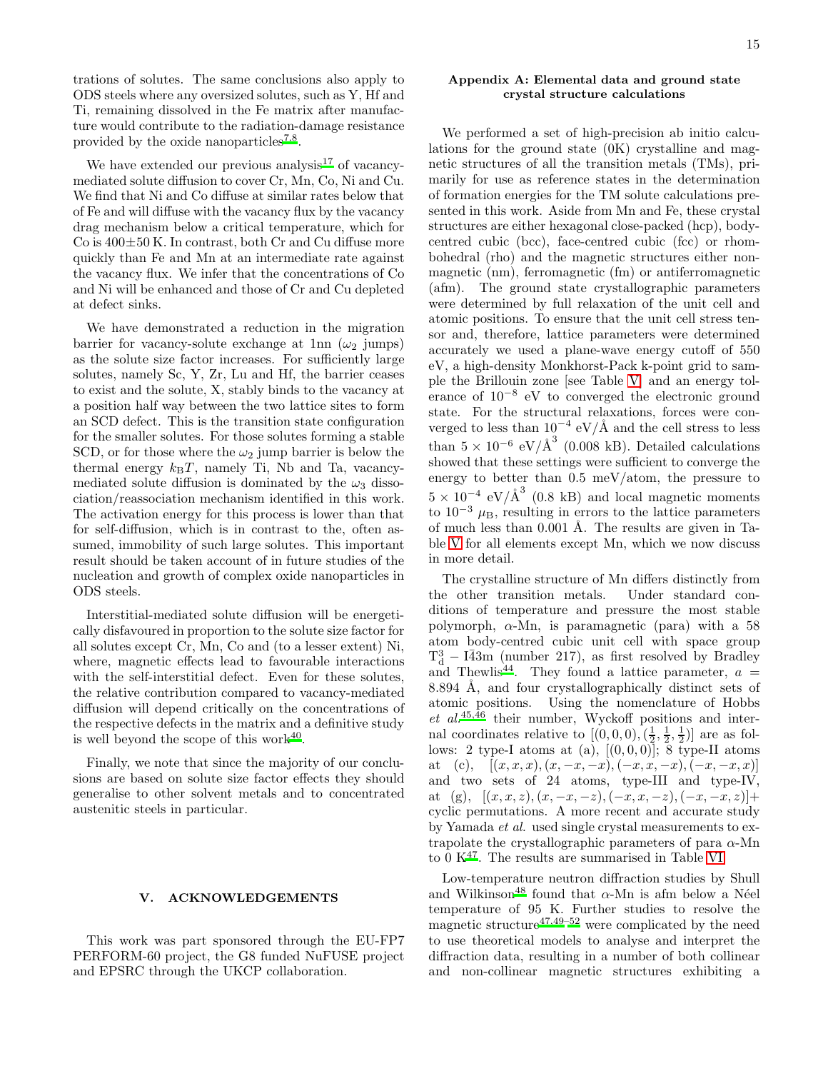trations of solutes. The same conclusions also apply to ODS steels where any oversized solutes, such as Y, Hf and Ti, remaining dissolved in the Fe matrix after manufacture would contribute to the radiation-damage resistance provided by the oxide nanoparticles<sup>[7](#page-17-7)[,8](#page-18-0)</sup>.

We have extended our previous analysis<sup>[17](#page-18-4)</sup> of vacancymediated solute diffusion to cover Cr, Mn, Co, Ni and Cu. We find that Ni and Co diffuse at similar rates below that of Fe and will diffuse with the vacancy flux by the vacancy drag mechanism below a critical temperature, which for  $Co$  is  $400\pm50$  K. In contrast, both Cr and Cu diffuse more quickly than Fe and Mn at an intermediate rate against the vacancy flux. We infer that the concentrations of Co and Ni will be enhanced and those of Cr and Cu depleted at defect sinks.

We have demonstrated a reduction in the migration barrier for vacancy-solute exchange at 1nn  $(\omega_2$  jumps) as the solute size factor increases. For sufficiently large solutes, namely Sc, Y, Zr, Lu and Hf, the barrier ceases to exist and the solute, X, stably binds to the vacancy at a position half way between the two lattice sites to form an SCD defect. This is the transition state configuration for the smaller solutes. For those solutes forming a stable SCD, or for those where the  $\omega_2$  jump barrier is below the thermal energy  $k_BT$ , namely Ti, Nb and Ta, vacancymediated solute diffusion is dominated by the  $\omega_3$  dissociation/reassociation mechanism identified in this work. The activation energy for this process is lower than that for self-diffusion, which is in contrast to the, often assumed, immobility of such large solutes. This important result should be taken account of in future studies of the nucleation and growth of complex oxide nanoparticles in ODS steels.

Interstitial-mediated solute diffusion will be energetically disfavoured in proportion to the solute size factor for all solutes except Cr, Mn, Co and (to a lesser extent) Ni, where, magnetic effects lead to favourable interactions with the self-interstitial defect. Even for these solutes, the relative contribution compared to vacancy-mediated diffusion will depend critically on the concentrations of the respective defects in the matrix and a definitive study is well beyond the scope of this work $40$ .

Finally, we note that since the majority of our conclusions are based on solute size factor effects they should generalise to other solvent metals and to concentrated austenitic steels in particular.

#### V. ACKNOWLEDGEMENTS

This work was part sponsored through the EU-FP7 PERFORM-60 project, the G8 funded NuFUSE project and EPSRC through the UKCP collaboration.

# <span id="page-14-0"></span>Appendix A: Elemental data and ground state crystal structure calculations

We performed a set of high-precision ab initio calculations for the ground state (0K) crystalline and magnetic structures of all the transition metals (TMs), primarily for use as reference states in the determination of formation energies for the TM solute calculations presented in this work. Aside from Mn and Fe, these crystal structures are either hexagonal close-packed (hcp), bodycentred cubic (bcc), face-centred cubic (fcc) or rhombohedral (rho) and the magnetic structures either nonmagnetic (nm), ferromagnetic (fm) or antiferromagnetic (afm). The ground state crystallographic parameters were determined by full relaxation of the unit cell and atomic positions. To ensure that the unit cell stress tensor and, therefore, lattice parameters were determined accurately we used a plane-wave energy cutoff of 550 eV, a high-density Monkhorst-Pack k-point grid to sample the Brillouin zone [see Table [V\]](#page-15-0) and an energy tolerance of 10<sup>−</sup><sup>8</sup> eV to converged the electronic ground state. For the structural relaxations, forces were converged to less than  $10^{-4}$  eV/Å and the cell stress to less than  $5 \times 10^{-6}$  eV/ $\text{\AA}^3$  (0.008 kB). Detailed calculations showed that these settings were sufficient to converge the energy to better than 0.5 meV/atom, the pressure to  $5 \times 10^{-4}$  eV/ $\AA^3$  (0.8 kB) and local magnetic moments to  $10^{-3}$   $\mu_{\rm B}$ , resulting in errors to the lattice parameters of much less than  $0.001$  Å. The results are given in Table [V](#page-15-0) for all elements except Mn, which we now discuss in more detail.

The crystalline structure of Mn differs distinctly from the other transition metals. Under standard conditions of temperature and pressure the most stable polymorph,  $\alpha$ -Mn, is paramagnetic (para) with a 58 atom body-centred cubic unit cell with space group  $T_d^3 - I\overline{4}3m$  (number 217), as first resolved by Bradley and Thewlis<sup>[44](#page-19-16)</sup>. They found a lattice parameter,  $a =$ 8.894 Å, and four crystallographically distinct sets of atomic positions. Using the nomenclature of Hobbs  $et \ al.<sup>45,46</sup>$  $et \ al.<sup>45,46</sup>$  $et \ al.<sup>45,46</sup>$  $et \ al.<sup>45,46</sup>$  their number, Wyckoff positions and internal coordinates relative to  $[(0,0,0),(\frac{1}{2},\frac{1}{2},\frac{1}{2})]$  are as follows: 2 type-I atoms at (a),  $[(0,0,0)]$ ; 8 type-II atoms at (c),  $[(x, x, x), (x, -x, -x), (-x, x, -x), (-x, -x, x)]$ and two sets of 24 atoms, type-III and type-IV, at (g),  $[(x, x, z), (x, -x, -z), (-x, x, -z), (-x, -x, z)] +$ cyclic permutations. A more recent and accurate study by Yamada et al. used single crystal measurements to extrapolate the crystallographic parameters of para  $\alpha$ -Mn to 0  $\mathrm{K}^{47}$  $\mathrm{K}^{47}$  $\mathrm{K}^{47}$ . The results are summarised in Table [VI.](#page-16-0)

Low-temperature neutron diffraction studies by Shull and Wilkinson<sup>[48](#page-20-3)</sup> found that  $\alpha$ -Mn is afm below a Néel temperature of 95 K. Further studies to resolve the magn[e](#page-20-2)tic structure $47,49-52$  $47,49-52$  $47,49-52$  were complicated by the need to use theoretical models to analyse and interpret the diffraction data, resulting in a number of both collinear and non-collinear magnetic structures exhibiting a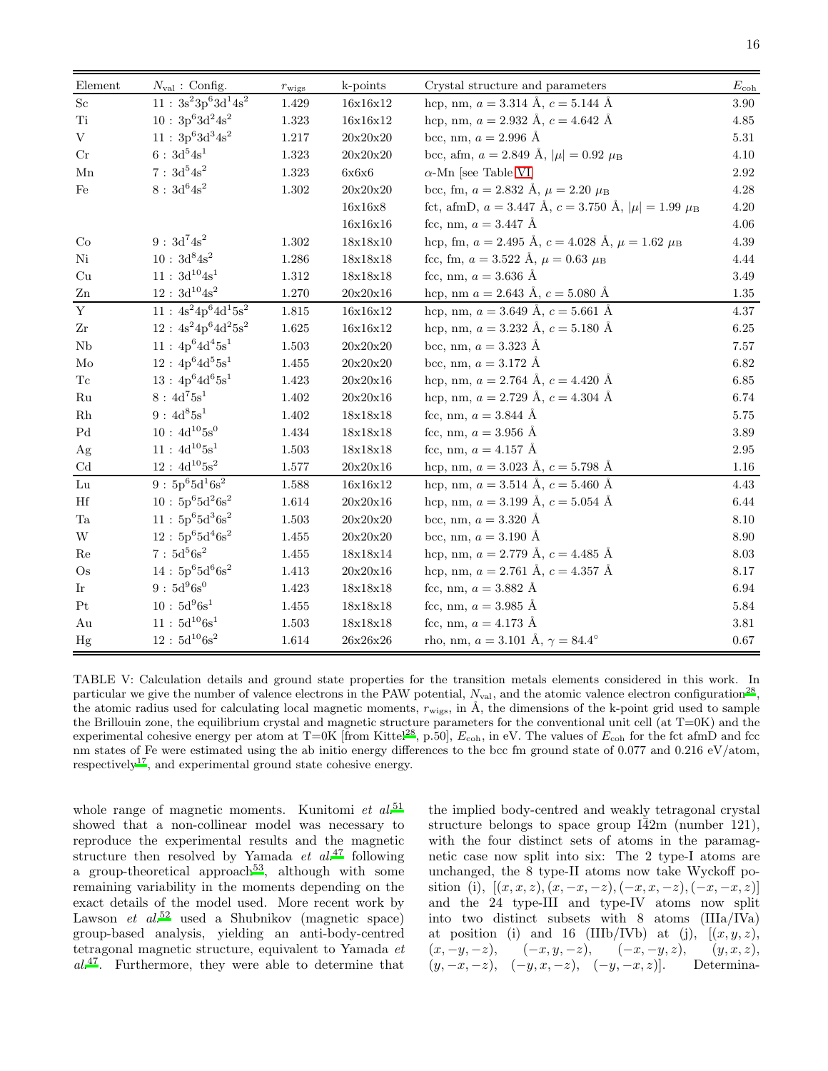| Element                    | $N_{\text{val}}$ : Config.                                    | $r_{\text{wigs}}$ | k-points                         | Crystal structure and parameters                                                         | $E_{\rm coh}$     |
|----------------------------|---------------------------------------------------------------|-------------------|----------------------------------|------------------------------------------------------------------------------------------|-------------------|
| $\rm Sc$                   | $11$ : $3\mathrm{s}^23\mathrm{p}^63\mathrm{d}^14\mathrm{s}^2$ | $1.429\,$         | 16x16x12                         | hcp, nm, $a = 3.314 \text{ Å}$ , $c = 5.144 \text{ Å}$                                   | 3.90              |
| Ti                         | $10:3p^63d^24s^2$                                             | 1.323             | 16x16x12                         | hcp, nm, $a = 2.932$ Å, $c = 4.642$ Å                                                    | $4.85\,$          |
| $\mathbf V$                | $11:3p^63d^34s^2$                                             | $1.217\,$         | $20x20x20$                       | bcc, nm, $a = 2.996 \text{ Å}$                                                           | $5.31\,$          |
| Cr                         | $6:3d^54s^1$                                                  | $1.323\,$         | 20x20x20                         | bcc, afm, $a = 2.849$ Å, $ \mu  = 0.92$ $\mu_B$                                          | 4.10              |
| ${\rm Mn}$                 | $7:3d^54s^2$                                                  | 1.323             | 6x6x6                            | $\alpha$ -Mn [see Table VI]                                                              | 2.92              |
| Fe                         | $8$ : $3d^64s^2$                                              | $1.302\,$         | 20x20x20                         | bcc, fm, $a = 2.832$ Å, $\mu = 2.20$ $\mu_B$                                             | $4.28\,$          |
|                            |                                                               |                   | 16x16x8                          | fct, afmD, $a = 3.447 \text{ Å}$ , $c = 3.750 \text{ Å}$ , $ \mu  = 1.99 \mu_{\text{B}}$ | $4.20\,$          |
|                            |                                                               |                   | 16x16x16                         | fcc, nm, $a = 3.447 \text{ Å}$                                                           | 4.06              |
| Co                         | $9:3d^74s^2$                                                  | $1.302\,$         | $18x18x10$                       | hcp, fm, $a = 2.495$ Å, $c = 4.028$ Å, $\mu = 1.62$ $\mu_B$                              | 4.39              |
| Ni                         | $10$ : $3\mathrm{d}^{8}\mathrm{4s}^{2}$                       | $1.286\,$         | $18 \mathrm{x} 18 \mathrm{x} 18$ | fcc, fm, $a = 3.522$ Å, $\mu = 0.63$ $\mu_B$                                             | 4.44              |
| Cu                         | $11$ : $3 \mathrm{d}^{10} \mathrm{4s}^1$                      | $1.312\,$         | $18x18x18$                       | fcc, nm, $a = 3.636 \text{ Å}$                                                           | $3.49\,$          |
| ${\rm Zn}$                 | $12$ : $3 \mathrm{d}^{10} \mathrm{4s}^2$                      | 1.270             | 20x20x16                         | hcp, nm $a = 2.643$ Å, $c = 5.080$ Å                                                     | 1.35              |
| $\mathbf{Y}$               | $11 : 4s^2 4p^6 \overline{4d^1 5s^2}$                         | $1.815\,$         | 16x16x12                         | hcp, nm, $a = 3.649$ Å, $c = 5.661$ Å                                                    | 4.37              |
| Zr                         | $12 : 4s^2 4p^6 4d^2 5s^2$                                    | $1.625\,$         | 16x16x12                         | hcp, nm, $a = 3.232 \text{ Å}$ , $c = 5.180 \text{ Å}$                                   | 6.25              |
| ${\rm Nb}$                 | $11:4p^64d^45s^1$                                             | $1.503\,$         | 20x20x20                         | bcc, nm, $a = 3.323 \text{ Å}$                                                           | 7.57              |
| Mo                         | $12:4p^64d^55s^1$                                             | 1.455             | 20x20x20                         | bcc, nm, $a = 3.172 \text{ Å}$                                                           | $6.82\,$          |
| $\operatorname{Tc}$        | $13:4p^64d^65s^1$                                             | 1.423             | $20x20x16$                       | hcp, nm, $a = 2.764$ Å, $c = 4.420$ Å                                                    | $6.85\,$          |
| $\rm Ru$                   | $8$ : $4d^75s^1$                                              | $1.402\,$         | 20x20x16                         | hcp, nm, $a = 2.729$ Å, $c = 4.304$ Å                                                    | 6.74              |
| $\rm Rh$                   | $9:4d^85s^1$                                                  | 1.402             | 18x18x18                         | fcc, nm, $a = 3.844 \text{ Å}$                                                           | 5.75              |
| $\operatorname{Pd}$        | $10:4d^{10}5s^0$                                              | 1.434             | $18x18x18$                       | fcc, nm, $a = 3.956$ Å                                                                   | $3.89\,$          |
| Ag                         | $11:4d^{10}5s^1$                                              | $1.503\,$         | 18x18x18                         | fcc, nm, $a = 4.157 \text{ Å}$                                                           | $\phantom{-}2.95$ |
| $\operatorname{Cd}$        | $12:4d^{10}5s^2$                                              | $1.577\,$         | $20x20x16$                       | hcp, nm, $a = 3.023$ Å, $c = 5.798$ Å                                                    | $1.16\,$          |
| ${\rm Lu}$                 | $9:5p^6\overline{5d^16s^2}$                                   | 1.588             | 16x16x12                         | hcp, nm, $a = 3.514$ Å, $c = 5.460$ Å                                                    | 4.43              |
| Hf                         | $10:5p^65d^26s^2$                                             | $1.614\,$         | $20x20x16$                       | hcp, nm, $a = 3.199 \text{ Å}, c = 5.054 \text{ Å}$                                      | 6.44              |
| $\rm Ta$                   | $11:5p^65d^36s^2$                                             | 1.503             | $20x20x20$                       | bcc, nm, $a = 3.320 \text{ Å}$                                                           | $8.10\,$          |
| $\ensuremath{\text{W}}$    | $12:5p^65d^46s^2$                                             | 1.455             | 20x20x20                         | bcc, nm, $a = 3.190 \text{ Å}$                                                           | 8.90              |
| Re                         | $7:5d^56s^2$                                                  | $1.455\,$         | $18 \mathrm{x} 18 \mathrm{x} 14$ | hcp, nm, $a = 2.779$ Å, $c = 4.485$ Å                                                    | 8.03              |
| $\mathrm{Os}$              | $14:5p^65d^66s^2$                                             | 1.413             | $20x20x16$                       | hcp, nm, $a = 2.761 \text{ Å}, c = 4.357 \text{ Å}$                                      | 8.17              |
| $\mathop{\rm Ir}\nolimits$ | $9:5d^96s^0$                                                  | 1.423             | $18x18x18$                       | fcc, nm, $a = 3.882 \text{ Å}$                                                           | $6.94\,$          |
| Pt                         | $10$ : $5d^96s^1$                                             | $1.455\,$         | $18x18x18$                       | fcc, nm, $a = 3.985 \text{ Å}$                                                           | $5.84\,$          |
| Au                         | $11$ : $5 \mathrm{d}^{10}6 \mathrm{s}^1$                      | $1.503\,$         | $18x18x18$                       | fcc, nm, $a = 4.173 \text{ Å}$                                                           | $3.81\,$          |
| Hg                         | $12$ : $5\mathrm{d}^{10}\mathrm{6s}^2$                        | 1.614             | $26x26x26$                       | rho, nm, $a = 3.101 \text{ Å}, \gamma = 84.4^{\circ}$                                    | $0.67\,$          |

<span id="page-15-0"></span>TABLE V: Calculation details and ground state properties for the transition metals elements considered in this work. In particular we give the number of valence electrons in the PAW potential,  $N_{\text{val}}$ , and the atomic valence electron configuration<sup>[28](#page-19-0)</sup> , the atomic radius used for calculating local magnetic moments,  $r_{\text{wigs}}$ , in  $\AA$ , the dimensions of the k-point grid used to sample the Brillouin zone, the equilibrium crystal and magnetic structure parameters for the conventional unit cell (at  $T=0K$ ) and the experimenta[l](#page-19-0) cohesive energy per atom at  $T=0K$  [from Kittel<sup>28</sup>, p.50],  $E_{coh}$ , in eV. The values of  $E_{coh}$  for the fct afmD and fcc nm states of Fe were estimated using the ab initio energy differences to the bcc fm ground state of 0.077 and 0.216 eV/atom, respectivel[y](#page-18-4)<sup>17</sup>, and experimental ground state cohesive energy.

whole range of magnetic moments. Kunitomi et  $al$ <sup>[51](#page-20-6)</sup> showed that a non-collinear model was necessary to reproduce the experimental results and the magnetic structure then resolved by Yamada  $et \ al.<sup>47</sup>$  $et \ al.<sup>47</sup>$  $et \ al.<sup>47</sup>$  following a group-theoretical approach<sup>[53](#page-20-7)</sup>, although with some remaining variability in the moments depending on the exact details of the model used. More recent work by Lawson et  $al^{52}$  used a Shubnikov (magnetic space) group-based analysis, yielding an anti-body-centred tetragonal magnetic structure, equivalent to Yamada et  $al^{47}$  $al^{47}$  $al^{47}$ . Furthermore, they were able to determine that

the implied body-centred and weakly tetragonal crystal structure belongs to space group  $I\overline{4}2m$  (number 121), with the four distinct sets of atoms in the paramagnetic case now split into six: The 2 type-I atoms are unchanged, the 8 type-II atoms now take Wyckoff position (i),  $[(x, x, z), (x, -x, -z), (-x, x, -z), (-x, -x, z)]$ and the 24 type-III and type-IV atoms now split into two distinct subsets with 8 atoms (IIIa/IVa) at position (i) and 16 (IIIb/IVb) at (j),  $[(x, y, z),$  $(x, -y, -z), \quad (-x, y, -z), \quad (-x, -y, z), \quad (y, x, z),$  $(y, -x, -z), \quad (-y, x, -z), \quad (-y, -x, z)].$  Determina-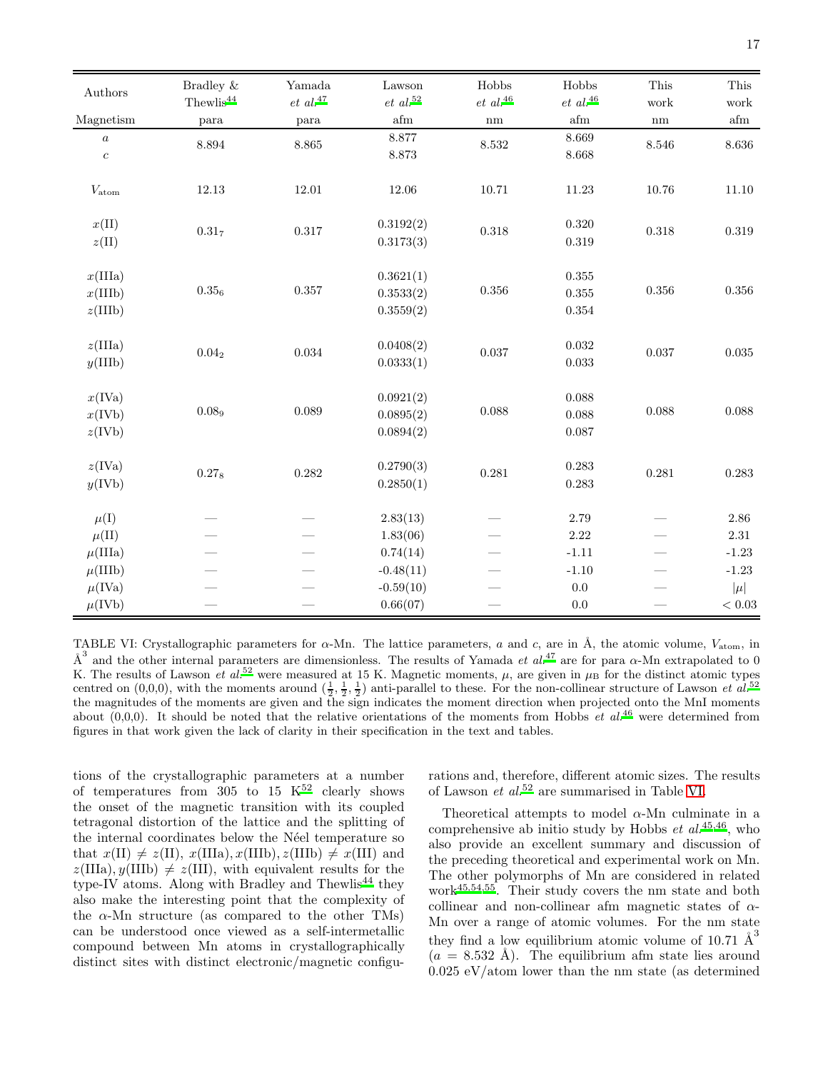| Authors          | Bradley &                         | Yamada           | Lawson                  | Hobbs          | Hobbs                   | This      | ${\rm This}$            |
|------------------|-----------------------------------|------------------|-------------------------|----------------|-------------------------|-----------|-------------------------|
|                  | $\mathrm{The} \mathrm{wlis}^{44}$ | $et\,\,al.^{47}$ | $et\,\,al.^{52}$        | $et\ al.^{46}$ | $et\,\,al.^{46}$        | work      | work                    |
| Magnetism        | para                              | para             | $\mathop{\mathrm{afm}}$ | $\rm{nm}$      | $\mathop{\mathrm{afm}}$ | nm        | $\mathop{\mathrm{afm}}$ |
| $\boldsymbol{a}$ | 8.894                             | 8.865            | 8.877                   | 8.532          | 8.669                   | $8.546\,$ | $8.636\,$               |
| $\boldsymbol{c}$ |                                   |                  | 8.873                   |                | 8.668                   |           |                         |
| $V_{\rm atom}$   | 12.13                             | $12.01\,$        | 12.06                   | 10.71          | 11.23                   | 10.76     | 11.10                   |
| $x(\text{II})$   | $0.31_{7}$                        | $0.317\,$        | 0.3192(2)               | 0.318          | $0.320\,$               | $0.318\,$ | $\,0.319\,$             |
| z(II)            |                                   |                  | 0.3173(3)               |                | 0.319                   |           |                         |
| x(IIIa)          |                                   |                  | 0.3621(1)               |                | $\!0.355\!$             |           |                         |
| x(IIIb)          | $0.35_{6}$                        | $0.357\,$        | 0.3533(2)               | 0.356          | 0.355                   | $0.356\,$ | $0.356\,$               |
| z(IIIb)          |                                   |                  | 0.3559(2)               |                | $0.354\,$               |           |                         |
| z(IIIa)          |                                   |                  | 0.0408(2)               |                | $\,0.032\,$             |           |                         |
| y(IIIb)          | $0.04_{2}$                        | $\,0.034\,$      | 0.0333(1)               | 0.037          | $\,0.033\,$             | 0.037     | $\,0.035\,$             |
| x(IVa)           |                                   |                  | 0.0921(2)               |                | 0.088                   |           |                         |
| x(IVb)           | 0.089                             | 0.089            | 0.0895(2)               | 0.088          | 0.088                   | 0.088     | 0.088                   |
| z(IVb)           |                                   |                  | 0.0894(2)               |                | 0.087                   |           |                         |
| z(IVa)           |                                   |                  | 0.2790(3)               |                | 0.283                   |           |                         |
| y(IVb)           | 0.278                             | 0.282            | 0.2850(1)               | 0.281          | 0.283                   | 0.281     | 0.283                   |
| $\mu(I)$         |                                   |                  | 2.83(13)                |                | 2.79                    |           | 2.86                    |
| $\mu(\text{II})$ |                                   |                  | 1.83(06)                |                | 2.22                    |           | $2.31\,$                |
| $\mu$ (IIIa)     |                                   |                  | 0.74(14)                |                | $-1.11$                 |           | $-1.23$                 |
| $\mu$ (IIIb)     |                                   |                  | $-0.48(11)$             |                | $-1.10$                 |           | $-1.23$                 |
| $\mu$ (IVa)      |                                   |                  | $-0.59(10)$             |                | $0.0\,$                 |           | $ \mu $                 |
| $\mu$ (IVb)      |                                   |                  | 0.66(07)                |                | $0.0\,$                 |           | $< 0.03$                |

<span id="page-16-0"></span>TABLE VI: Crystallographic parameters for  $\alpha$ -Mn. The lattice parameters, a and c, are in Å, the atomic volume,  $V_{\text{atom}}$ , in  $\AA^3$  and the other internal parameters are dimensionless. The results of Yamada *et al.*<sup>[47](#page-20-2)</sup> are for para  $\alpha$ -Mn extrapolated to 0 K. The results of Lawson *et al.*<sup>[52](#page-20-5)</sup> were measured at 15 K. Magnetic moments,  $\mu$ , are given in  $\mu$ <sub>B</sub> for the distinct atomic types centred on  $(0,0,0)$ , with the moments around  $(\frac{1}{2},\frac{1}{2},\frac{1}{2})$  anti-parallel to these. For the non-collinear structure of Lawson *et al.*<sup>[52](#page-20-5)</sup> the magnitudes of the moments are given and the sign indicates the moment direction when projected onto the MnI moments about  $(0,0,0)$ . It should be noted that the relative orientations of the moments from Hobbs et al.<sup>[46](#page-20-1)</sup> were determined from figures in that work given the lack of clarity in their specification in the text and tables.

tions of the crystallographic parameters at a number of temperatures from  $305$  to  $15$  K<sup>[52](#page-20-5)</sup> clearly shows the onset of the magnetic transition with its coupled tetragonal distortion of the lattice and the splitting of the internal coordinates below the Néel temperature so that  $x(\text{II}) \neq z(\text{II}), x(\text{IIIA}), x(\text{IIIB}), z(\text{IIIb}) \neq x(\text{III})$  and  $z(IIIa), y(IIIb) \neq z(III),$  with equivalent results for the type-IV atoms. Along with Bradley and Thewlis<sup>[44](#page-19-16)</sup> they also make the interesting point that the complexity of the  $\alpha$ -Mn structure (as compared to the other TMs) can be understood once viewed as a self-intermetallic compound between Mn atoms in crystallographically distinct sites with distinct electronic/magnetic configurations and, therefore, different atomic sizes. The results of Lawson et al.[52](#page-20-5) are summarised in Table [VI.](#page-16-0)

Theoretical attempts to model  $\alpha$ -Mn culminate in a comprehensive ab initio study by Hobbs  $et \, al.^{45,46}$  $et \, al.^{45,46}$  $et \, al.^{45,46}$  $et \, al.^{45,46}$  $et \, al.^{45,46}$ , who also provide an excellent summary and discussion of the preceding theoretical and experimental work on Mn. The other polymorphs of Mn are considered in related work[45](#page-20-0)[,54](#page-20-8)[,55](#page-20-9). Their study covers the nm state and both collinear and non-collinear afm magnetic states of  $\alpha$ -Mn over a range of atomic volumes. For the nm state they find a low equilibrium atomic volume of 10.71  $\AA^3$  $(a = 8.532 \text{ Å})$ . The equilibrium afm state lies around 0.025 eV/atom lower than the nm state (as determined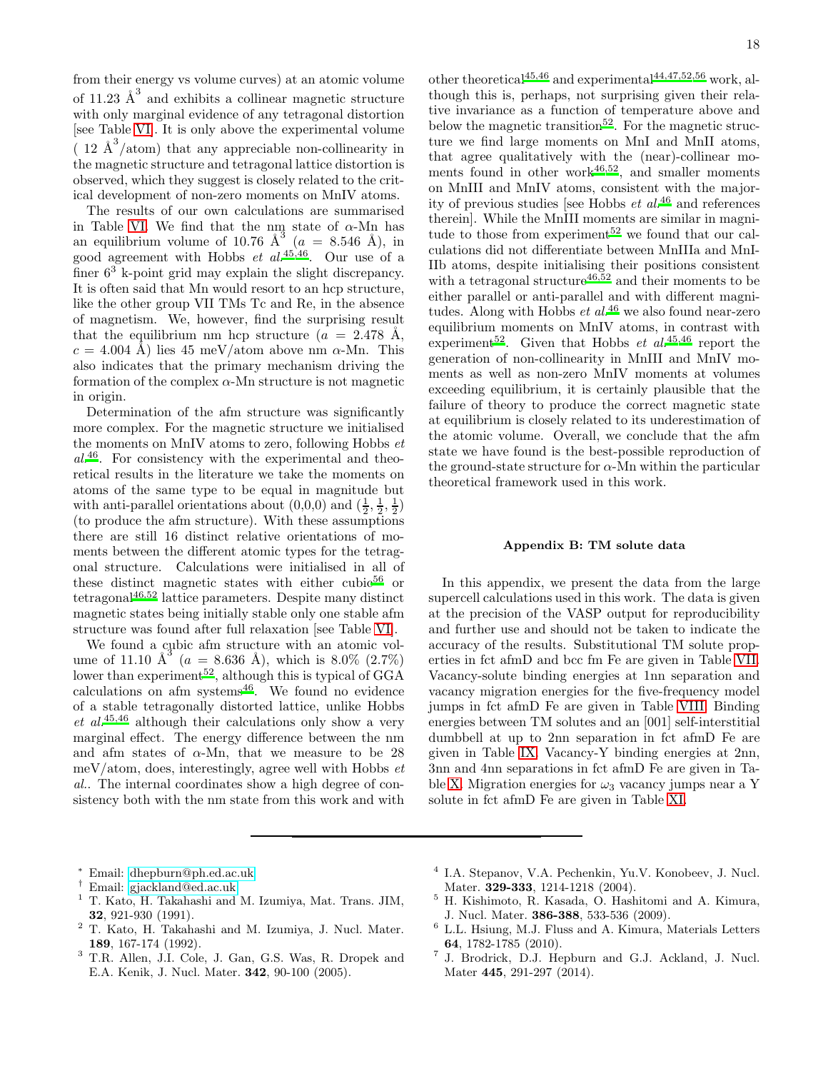from their energy vs volume curves) at an atomic volume of 11.23  $\AA^3$  and exhibits a collinear magnetic structure with only marginal evidence of any tetragonal distortion [see Table [VI\]](#page-16-0). It is only above the experimental volume ( $12 \text{ Å}^3/\text{atom}$ ) that any appreciable non-collinearity in the magnetic structure and tetragonal lattice distortion is observed, which they suggest is closely related to the critical development of non-zero moments on MnIV atoms.

The results of our own calculations are summarised in Table [VI.](#page-16-0) We find that the nm state of  $\alpha$ -Mn has an equilibrium volume of 10.76  $\AA^3$  ( $a = 8.546 \AA$ ), in good agreement with Hobbs  $et \ al.<sup>45,46</sup>$  $et \ al.<sup>45,46</sup>$  $et \ al.<sup>45,46</sup>$  $et \ al.<sup>45,46</sup>$ . Our use of a finer 6<sup>3</sup> k-point grid may explain the slight discrepancy. It is often said that Mn would resort to an hcp structure, like the other group VII TMs Tc and Re, in the absence of magnetism. We, however, find the surprising result that the equilibrium nm hcp structure  $(a = 2.478 \text{ Å},$  $c = 4.004$  Å) lies 45 meV/atom above nm  $\alpha$ -Mn. This also indicates that the primary mechanism driving the formation of the complex  $\alpha$ -Mn structure is not magnetic in origin.

Determination of the afm structure was significantly more complex. For the magnetic structure we initialised the moments on MnIV atoms to zero, following Hobbs  $et$  $al^{46}$  $al^{46}$  $al^{46}$ . For consistency with the experimental and theoretical results in the literature we take the moments on atoms of the same type to be equal in magnitude but with anti-parallel orientations about  $(0,0,0)$  and  $(\frac{1}{2},\frac{1}{2},\frac{1}{2})$ (to produce the afm structure). With these assumptions there are still 16 distinct relative orientations of moments between the different atomic types for the tetragonal structure. Calculations were initialised in all of these distin[c](#page-20-10)t magnetic states with either cubic $56$  or tetragonal[46](#page-20-1)[,52](#page-20-5) lattice parameters. Despite many distinct magnetic states being initially stable only one stable afm structure was found after full relaxation [see Table [VI\]](#page-16-0).

We found a cubic afm structure with an atomic volume of 11.10  $\text{\AA}^3$  ( $a = 8.636 \text{\AA}$ ), which is 8.0% (2.7%) lower than experiment<sup>[52](#page-20-5)</sup>, although this is typical of  $GGA$ calculations on afm systems $46$ . We found no evidence of a stable tetragonally distorted lattice, unlike Hobbs et  $al^{45,46}$  $al^{45,46}$  $al^{45,46}$  $al^{45,46}$  although their calculations only show a very marginal effect. The energy difference between the nm and afm states of  $\alpha$ -Mn, that we measure to be 28 meV/atom, does, interestingly, agree well with Hobbs  $et$ al.. The internal coordinates show a high degree of consistency both with the nm state from this work and with other theoretical<sup>[45](#page-20-0)[,46](#page-20-1)</sup> and experimental<sup>[44](#page-19-16)[,47](#page-20-2)[,52](#page-20-5)[,56](#page-20-10)</sup> work, although this is, perhaps, not surprising given their relative invariance as a function of temperature above and below the magnetic transition<sup>[52](#page-20-5)</sup>. For the magnetic structure we find large moments on MnI and MnII atoms, that agree qualitatively with the (near)-collinear moments found in other work $46,52$  $46,52$ , and smaller moments on MnIII and MnIV atoms, consistent with the majority of previous studies [see Hobbs  $et \ al^{46}$  $et \ al^{46}$  $et \ al^{46}$  and references therein]. While the MnIII moments are similar in magni-tude to those from experiment<sup>[52](#page-20-5)</sup> we found that our calculations did not differentiate between MnIIIa and MnI-IIb atoms, despite initialising their positions consistent with a tetragonal structure<sup>[46](#page-20-1)[,52](#page-20-5)</sup> and their moments to be either parallel or anti-parallel and with different magnitudes. Along with Hobbs  $et$   $al.^{46}$  $al.^{46}$  $al.^{46}$  we also found near-zero equilibrium moments on MnIV atoms, in contrast with experiment<sup>[52](#page-20-5)</sup>. Given that Hobbs *et al.*<sup>[45](#page-20-0)[,46](#page-20-1)</sup> report the generation of non-collinearity in MnIII and MnIV moments as well as non-zero MnIV moments at volumes exceeding equilibrium, it is certainly plausible that the failure of theory to produce the correct magnetic state at equilibrium is closely related to its underestimation of the atomic volume. Overall, we conclude that the afm state we have found is the best-possible reproduction of the ground-state structure for  $\alpha$ -Mn within the particular theoretical framework used in this work.

#### <span id="page-17-8"></span>Appendix B: TM solute data

In this appendix, we present the data from the large supercell calculations used in this work. The data is given at the precision of the VASP output for reproducibility and further use and should not be taken to indicate the accuracy of the results. Substitutional TM solute properties in fct afmD and bcc fm Fe are given in Table [VII.](#page-18-15) Vacancy-solute binding energies at 1nn separation and vacancy migration energies for the five-frequency model jumps in fct afmD Fe are given in Table [VIII.](#page-19-17) Binding energies between TM solutes and an [001] self-interstitial dumbbell at up to 2nn separation in fct afmD Fe are given in Table [IX.](#page-20-11) Vacancy-Y binding energies at 2nn, 3nn and 4nn separations in fct afmD Fe are given in Ta-ble [X.](#page-20-12) Migration energies for  $\omega_3$  vacancy jumps near a Y solute in fct afmD Fe are given in Table [XI.](#page-21-0)

- <sup>∗</sup> Email: [dhepburn@ph.ed.ac.uk](mailto:dhepburn@ph.ed.ac.uk)
- <span id="page-17-0"></span><sup>†</sup> Email: [gjackland@ed.ac.uk](mailto:gjackland@ed.ac.uk)<br><sup>1</sup> T Kato H Takabashi and
- <span id="page-17-2"></span><span id="page-17-1"></span><sup>1</sup> T. Kato, H. Takahashi and M. Izumiya, Mat. Trans. JIM, 32, 921-930 (1991).
- <span id="page-17-3"></span><sup>2</sup> T. Kato, H. Takahashi and M. Izumiya, J. Nucl. Mater. 189, 167-174 (1992).
- <span id="page-17-4"></span><sup>3</sup> T.R. Allen, J.I. Cole, J. Gan, G.S. Was, R. Dropek and E.A. Kenik, J. Nucl. Mater. 342, 90-100 (2005).
- <span id="page-17-5"></span>4 I.A. Stepanov, V.A. Pechenkin, Yu.V. Konobeev, J. Nucl. Mater. 329-333, 1214-1218 (2004).
- <span id="page-17-6"></span><sup>5</sup> H. Kishimoto, R. Kasada, O. Hashitomi and A. Kimura, J. Nucl. Mater. 386-388, 533-536 (2009).
- $^6$  L.L. Hsiung, M.J. Fluss and A. Kimura, Materials Letters 64, 1782-1785 (2010).
- <span id="page-17-7"></span>7 J. Brodrick, D.J. Hepburn and G.J. Ackland, J. Nucl. Mater 445, 291-297 (2014).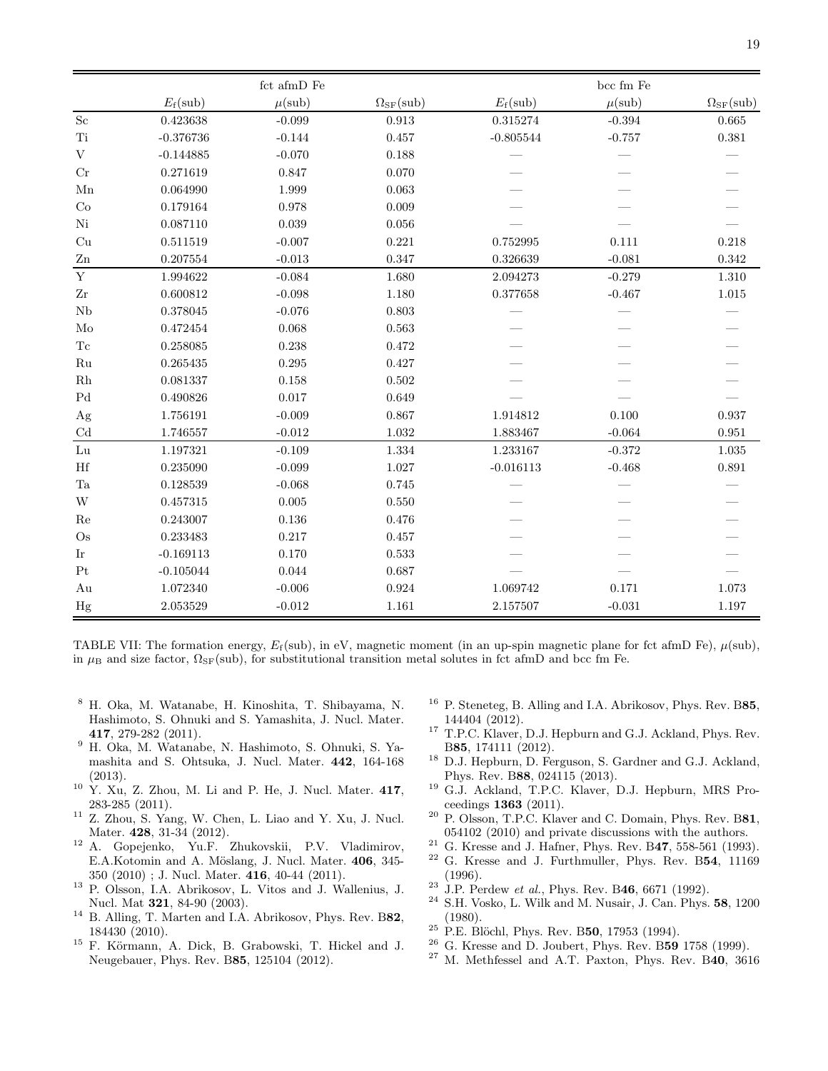|                            |             | $\operatorname{fct}$ afm<br>D $\operatorname{Fe}$ |                              |             | $bcc\ fm$ $Fe$    |                              |
|----------------------------|-------------|---------------------------------------------------|------------------------------|-------------|-------------------|------------------------------|
|                            | $E_f$ (sub) | $\mu(\text{sub})$                                 | $\Omega_{\rm SF}({\rm sub})$ | $E_f$ (sub) | $\mu(\text{sub})$ | $\Omega_{\rm SF}({\rm sub})$ |
| Sc                         | 0.423638    | $-0.099$                                          | $\,0.913\,$                  | 0.315274    | $-0.394$          | 0.665                        |
| Ti                         | $-0.376736$ | $-0.144$                                          | 0.457                        | $-0.805544$ | $-0.757$          | $\rm 0.381$                  |
| $\mathbf V$                | $-0.144885$ | $-0.070$                                          | 0.188                        |             |                   |                              |
| Cr                         | 0.271619    | 0.847                                             | 0.070                        |             |                   |                              |
| ${\rm Mn}$                 | 0.064990    | 1.999                                             | 0.063                        |             |                   |                              |
| Co                         | 0.179164    | 0.978                                             | 0.009                        |             |                   |                              |
| Ni                         | 0.087110    | 0.039                                             | 0.056                        |             |                   |                              |
| Cu                         | 0.511519    | $-0.007$                                          | 0.221                        | 0.752995    | 0.111             | 0.218                        |
| ${\rm Zn}$                 | 0.207554    | $-0.013$                                          | 0.347                        | 0.326639    | $-0.081$          | 0.342                        |
| $\mathbf Y$                | 1.994622    | $-0.084$                                          | 1.680                        | 2.094273    | $-0.279$          | 1.310                        |
| $\operatorname{Zr}$        | 0.600812    | $-0.098$                                          | 1.180                        | 0.377658    | $-0.467$          | $1.015\,$                    |
| Nb                         | 0.378045    | $-0.076$                                          | 0.803                        |             |                   |                              |
| Mo                         | 0.472454    | 0.068                                             | 0.563                        |             |                   |                              |
| Tc                         | 0.258085    | 0.238                                             | 0.472                        |             |                   |                              |
| Ru                         | 0.265435    | 0.295                                             | 0.427                        |             |                   |                              |
| $\rm Rh$                   | 0.081337    | 0.158                                             | 0.502                        |             |                   |                              |
| $\operatorname{Pd}$        | 0.490826    | 0.017                                             | 0.649                        |             |                   |                              |
| Ag                         | 1.756191    | $-0.009$                                          | 0.867                        | 1.914812    | 0.100             | 0.937                        |
| $\ensuremath{\mathrm{Cd}}$ | 1.746557    | $-0.012$                                          | 1.032                        | 1.883467    | $-0.064$          | 0.951                        |
| ${\rm Lu}$                 | 1.197321    | $-0.109$                                          | 1.334                        | 1.233167    | $-0.372$          | 1.035                        |
| $\rm Hf$                   | 0.235090    | $-0.099$                                          | 1.027                        | $-0.016113$ | $-0.468$          | 0.891                        |
| $\rm Ta$                   | 0.128539    | $-0.068$                                          | 0.745                        |             |                   |                              |
| W                          | 0.457315    | 0.005                                             | 0.550                        |             |                   |                              |
| Re                         | 0.243007    | 0.136                                             | 0.476                        |             |                   |                              |
| $\rm Os$                   | 0.233483    | 0.217                                             | 0.457                        |             |                   |                              |
| $\mathop{\rm Ir}\nolimits$ | $-0.169113$ | 0.170                                             | 0.533                        |             |                   |                              |
| Pt                         | $-0.105044$ | $\,0.044\,$                                       | 0.687                        |             |                   |                              |
| Au                         | 1.072340    | $-0.006$                                          | 0.924                        | 1.069742    | 0.171             | 1.073                        |
| Hg                         | 2.053529    | $-0.012$                                          | 1.161                        | 2.157507    | $-0.031$          | 1.197                        |

<span id="page-18-15"></span>TABLE VII: The formation energy,  $E_f(\text{sub})$ , in eV, magnetic moment (in an up-spin magnetic plane for fct afmD Fe),  $\mu(\text{sub})$ , in  $\mu_B$  and size factor,  $\Omega_{SF}(\text{sub})$ , for substitutional transition metal solutes in fct afmD and bcc fm Fe.

- <span id="page-18-0"></span><sup>8</sup> H. Oka, M. Watanabe, H. Kinoshita, T. Shibayama, N. Hashimoto, S. Ohnuki and S. Yamashita, J. Nucl. Mater. 417, 279-282 (2011).
- <sup>9</sup> H. Oka, M. Watanabe, N. Hashimoto, S. Ohnuki, S. Yamashita and S. Ohtsuka, J. Nucl. Mater. 442, 164-168 (2013).
- $10\,$  Y. Xu, Z. Zhou, M. Li and P. He, J. Nucl. Mater. 417, 283-285 (2011).
- <sup>11</sup> Z. Zhou, S. Yang, W. Chen, L. Liao and Y. Xu, J. Nucl. Mater. 428, 31-34 (2012).
- <span id="page-18-1"></span><sup>12</sup> A. Gopejenko, Yu.F. Zhukovskii, P.V. Vladimirov, E.A.Kotomin and A. Möslang, J. Nucl. Mater. 406, 345-350 (2010) ; J. Nucl. Mater. 416, 40-44 (2011).
- <span id="page-18-2"></span><sup>13</sup> P. Olsson, I.A. Abrikosov, L. Vitos and J. Wallenius, J. Nucl. Mat 321, 84-90 (2003).
- <sup>14</sup> B. Alling, T. Marten and I.A. Abrikosov, Phys. Rev. B82, 184430 (2010).
- <sup>15</sup> F. Körmann, A. Dick, B. Grabowski, T. Hickel and J. Neugebauer, Phys. Rev. B85, 125104 (2012).
- <span id="page-18-3"></span><sup>16</sup> P. Steneteg, B. Alling and I.A. Abrikosov, Phys. Rev. B85, 144404 (2012).
- <span id="page-18-4"></span><sup>17</sup> T.P.C. Klaver, D.J. Hepburn and G.J. Ackland, Phys. Rev. B85, 174111 (2012).
- <span id="page-18-14"></span><sup>18</sup> D.J. Hepburn, D. Ferguson, S. Gardner and G.J. Ackland, Phys. Rev. B88, 024115 (2013).
- <span id="page-18-5"></span><sup>19</sup> G.J. Ackland, T.P.C. Klaver, D.J. Hepburn, MRS Proceedings 1363 (2011).
- <span id="page-18-6"></span><sup>20</sup> P. Olsson, T.P.C. Klaver and C. Domain, Phys. Rev. B81, 054102 (2010) and private discussions with the authors.
- <span id="page-18-7"></span> $21$  G. Kresse and J. Hafner, Phys. Rev. B47, 558-561 (1993).
- <span id="page-18-8"></span><sup>22</sup> G. Kresse and J. Furthmuller, Phys. Rev. B54, 11169 (1996).
- <span id="page-18-9"></span> $23$  J.P. Perdew *et al.*, Phys. Rev. B46, 6671 (1992).
- <span id="page-18-10"></span> $^{24}\,$  S.H. Vosko, L. Wilk and M. Nusair, J. Can. Phys.  ${\bf 58},\,1200$ (1980).
- <span id="page-18-11"></span> $25$  P.E. Blöchl, Phys. Rev. B50, 17953 (1994).
- <span id="page-18-12"></span> $^{26}$  G. Kresse and D. Joubert, Phys. Rev. B59 1758 (1999).
- <span id="page-18-13"></span><sup>27</sup> M. Methfessel and A.T. Paxton, Phys. Rev. B40, 3616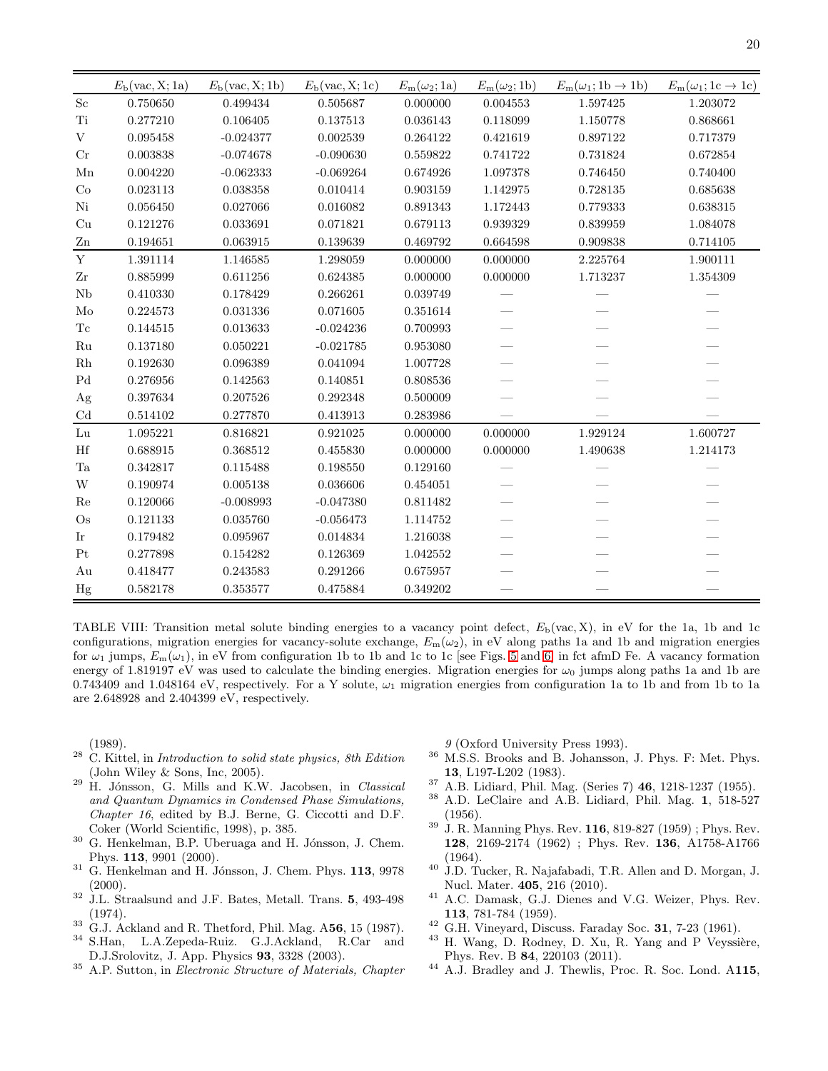|                     | $E_{\rm b}(\text{vac}, \text{X}; 1a)$ | $E_{\rm b}(\text{vac}, \text{X}; 1b)$ | $E_{\rm b}(\text{vac}, \text{X}; 1c)$ | $E_{\rm m}(\omega_2;1a)$ | $E_{\rm m}(\omega_2;1{\rm b})$ | $E_m(\omega_1; 1b \rightarrow 1b)$ | $E_{\rm m}(\omega_1; 1c \to 1c)$ |
|---------------------|---------------------------------------|---------------------------------------|---------------------------------------|--------------------------|--------------------------------|------------------------------------|----------------------------------|
| $\rm Sc$            | 0.750650                              | 0.499434                              | 0.505687                              | 0.000000                 | 0.004553                       | 1.597425                           | 1.203072                         |
| Ti                  | 0.277210                              | 0.106405                              | 0.137513                              | 0.036143                 | 0.118099                       | 1.150778                           | 0.868661                         |
| V                   | 0.095458                              | $-0.024377$                           | 0.002539                              | 0.264122                 | 0.421619                       | 0.897122                           | 0.717379                         |
| Cr                  | 0.003838                              | $-0.074678$                           | $-0.090630$                           | 0.559822                 | 0.741722                       | 0.731824                           | 0.672854                         |
| Mn                  | 0.004220                              | $-0.062333$                           | $-0.069264$                           | 0.674926                 | 1.097378                       | 0.746450                           | 0.740400                         |
| Co                  | 0.023113                              | 0.038358                              | 0.010414                              | 0.903159                 | 1.142975                       | 0.728135                           | 0.685638                         |
| Ni                  | 0.056450                              | 0.027066                              | 0.016082                              | 0.891343                 | 1.172443                       | 0.779333                           | 0.638315                         |
| Cu                  | 0.121276                              | 0.033691                              | 0.071821                              | 0.679113                 | 0.939329                       | 0.839959                           | 1.084078                         |
| Zn                  | 0.194651                              | 0.063915                              | 0.139639                              | 0.469792                 | 0.664598                       | 0.909838                           | 0.714105                         |
| $\mathbf Y$         | 1.391114                              | 1.146585                              | 1.298059                              | 0.000000                 | 0.000000                       | 2.225764                           | 1.900111                         |
| $\operatorname{Zr}$ | 0.885999                              | 0.611256                              | 0.624385                              | 0.000000                 | 0.000000                       | 1.713237                           | 1.354309                         |
| ${\rm Nb}$          | 0.410330                              | 0.178429                              | 0.266261                              | 0.039749                 |                                |                                    |                                  |
| Mo                  | 0.224573                              | 0.031336                              | 0.071605                              | 0.351614                 |                                |                                    |                                  |
| Tc                  | 0.144515                              | 0.013633                              | $-0.024236$                           | 0.700993                 |                                |                                    |                                  |
| $\rm Ru$            | 0.137180                              | 0.050221                              | $-0.021785$                           | 0.953080                 |                                |                                    |                                  |
| Rh                  | 0.192630                              | 0.096389                              | 0.041094                              | 1.007728                 |                                |                                    |                                  |
| P <sub>d</sub>      | 0.276956                              | 0.142563                              | 0.140851                              | 0.808536                 |                                |                                    |                                  |
| Ag                  | 0.397634                              | 0.207526                              | 0.292348                              | 0.500009                 |                                |                                    |                                  |
| Cd                  | 0.514102                              | 0.277870                              | 0.413913                              | 0.283986                 |                                |                                    |                                  |
| Lu                  | 1.095221                              | 0.816821                              | 0.921025                              | 0.000000                 | 0.000000                       | 1.929124                           | 1.600727                         |
| $\rm Hf$            | 0.688915                              | 0.368512                              | 0.455830                              | 0.000000                 | 0.000000                       | 1.490638                           | 1.214173                         |
| Ta                  | 0.342817                              | 0.115488                              | 0.198550                              | 0.129160                 |                                |                                    |                                  |
| W                   | 0.190974                              | 0.005138                              | 0.036606                              | 0.454051                 |                                |                                    |                                  |
| Re                  | 0.120066                              | $-0.008993$                           | $-0.047380$                           | 0.811482                 |                                |                                    |                                  |
| $\rm Os$            | 0.121133                              | 0.035760                              | $-0.056473$                           | 1.114752                 |                                |                                    |                                  |
| Ir                  | 0.179482                              | 0.095967                              | 0.014834                              | 1.216038                 |                                |                                    |                                  |
| Pt                  | 0.277898                              | 0.154282                              | 0.126369                              | 1.042552                 |                                |                                    |                                  |
| Au                  | 0.418477                              | 0.243583                              | 0.291266                              | 0.675957                 |                                |                                    |                                  |
| Hg                  | 0.582178                              | 0.353577                              | 0.475884                              | 0.349202                 |                                |                                    |                                  |

<span id="page-19-17"></span>TABLE VIII: Transition metal solute binding energies to a vacancy point defect,  $E<sub>b</sub>(vac, X)$ , in eV for the 1a, 1b and 1c configurations, migration energies for vacancy-solute exchange,  $E_m(\omega_2)$ , in eV along paths 1a and 1b and migration energies for  $\omega_1$  jumps,  $E_m(\omega_1)$ , in eV from configuration 1b to 1b and 1c to 1c [see Figs. [5](#page-6-0) and [6\]](#page-6-1) in fct afmD Fe. A vacancy formation energy of 1.819197 eV was used to calculate the binding energies. Migration energies for  $\omega_0$  jumps along paths 1a and 1b are 0.743409 and 1.048164 eV, respectively. For a Y solute,  $\omega_1$  migration energies from configuration 1a to 1b and from 1b to 1a are 2.648928 and 2.404399 eV, respectively.

(1989).

- <span id="page-19-0"></span> $28$  C. Kittel, in *Introduction to solid state physics*, 8th Edition (John Wiley & Sons, Inc, 2005).
- <span id="page-19-1"></span> $29$  H. Jónsson, G. Mills and K.W. Jacobsen, in Classical and Quantum Dynamics in Condensed Phase Simulations, Chapter 16, edited by B.J. Berne, G. Ciccotti and D.F. Coker (World Scientific, 1998), p. 385.
- <span id="page-19-2"></span> $30\,$  G. Henkelman, B.P. Uberuaga and H. Jónsson, J. Chem. Phys. 113, 9901 (2000).
- <span id="page-19-3"></span> $31$  G. Henkelman and H. Jónsson, J. Chem. Phys. 113, 9978  $(2000).$
- <span id="page-19-4"></span> $32$  J.L. Straalsund and J.F. Bates, Metall. Trans. 5, 493-498 (1974).
- <span id="page-19-5"></span> $33\,$  G.J. Ackland and R. Thetford, Phil. Mag. A56, 15 (1987).
- <span id="page-19-6"></span><sup>34</sup> S.Han, L.A.Zepeda-Ruiz. G.J.Ackland, R.Car and D.J.Srolovitz, J. App. Physics 93, 3328 (2003).
- <span id="page-19-7"></span><sup>35</sup> A.P. Sutton, in Electronic Structure of Materials, Chapter

9 (Oxford University Press 1993).

- <span id="page-19-8"></span><sup>36</sup> M.S.S. Brooks and B. Johansson, J. Phys. F: Met. Phys. 13, L197-L202 (1983).
- <span id="page-19-9"></span><sup>37</sup> A.B. Lidiard, Phil. Mag. (Series 7) 46, 1218-1237 (1955).
- <span id="page-19-10"></span><sup>38</sup> A.D. LeClaire and A.B. Lidiard, Phil. Mag. 1, 518-527 (1956).
- <span id="page-19-11"></span> $39\,$  J. R. Manning Phys. Rev. 116, 819-827 (1959) ; Phys. Rev. 128, 2169-2174 (1962) ; Phys. Rev. 136, A1758-A1766 (1964).
- <span id="page-19-12"></span><sup>40</sup> J.D. Tucker, R. Najafabadi, T.R. Allen and D. Morgan, J. Nucl. Mater. 405, 216 (2010).
- <span id="page-19-13"></span><sup>41</sup> A.C. Damask, G.J. Dienes and V.G. Weizer, Phys. Rev. 113, 781-784 (1959).
- <span id="page-19-14"></span><sup>42</sup> G.H. Vineyard, Discuss. Faraday Soc. 31, 7-23 (1961).
- <span id="page-19-15"></span><sup>43</sup> H. Wang, D. Rodney, D. Xu, R. Yang and P Veyssière, Phys. Rev. B 84, 220103 (2011).
- <span id="page-19-16"></span><sup>44</sup> A.J. Bradley and J. Thewlis, Proc. R. Soc. Lond. A115,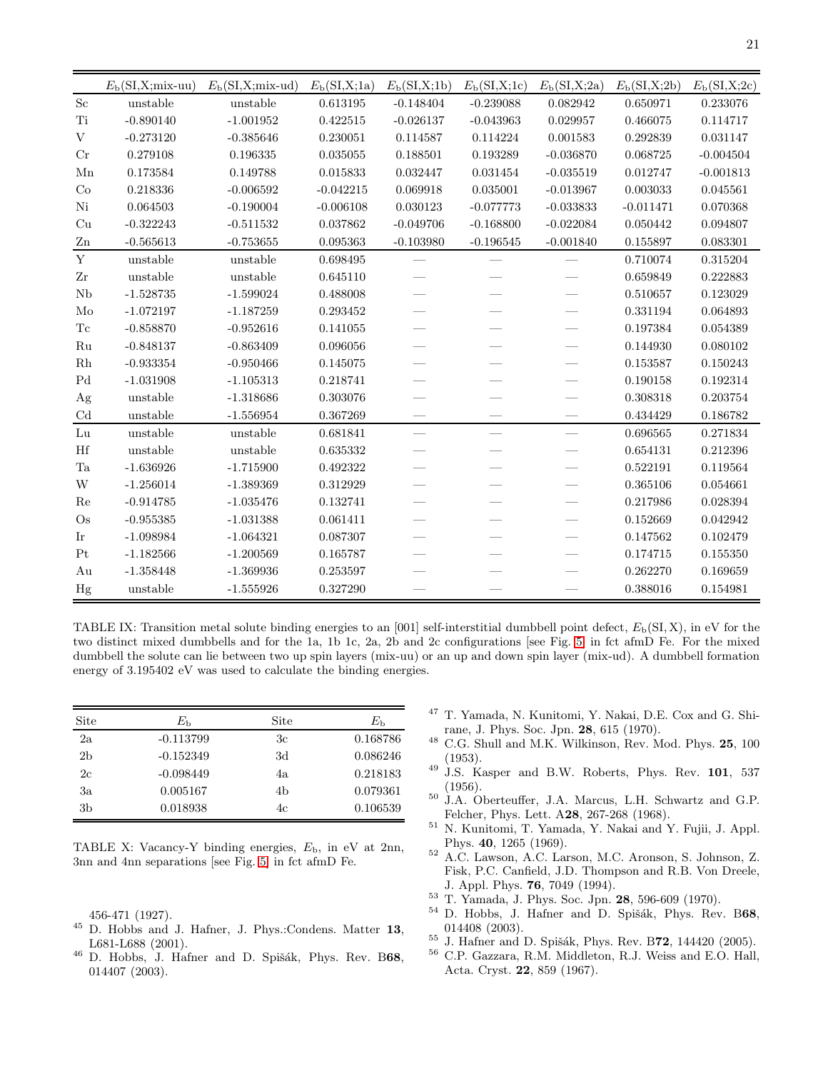|                                                                                                       | $E_{\rm b}$ (SI,X;mix-uu) | $E_{\rm b}$ (SI,X;mix-ud) | $E_{\rm b}({\rm SI, X;1a})$ | $E_{\rm b}({\rm SI, X;1b})$ | $E_{\rm b}$ (SI,X;1c)           | $E_{\rm b}({\rm SI, X;2a})$ | $E_{\rm b}({\rm SI, X; 2b})$ | $E_{\rm b}({\rm SI, X;2c})$ |
|-------------------------------------------------------------------------------------------------------|---------------------------|---------------------------|-----------------------------|-----------------------------|---------------------------------|-----------------------------|------------------------------|-----------------------------|
| $\rm Sc$                                                                                              | unstable                  | unstable                  | 0.613195                    | $-0.148404$                 | $-0.239088$                     | 0.082942                    | 0.650971                     | 0.233076                    |
| Ti                                                                                                    | $-0.890140$               | $-1.001952$               | 0.422515                    | $-0.026137$                 | $-0.043963$                     | 0.029957                    | 0.466075                     | 0.114717                    |
| $\mathbf V$                                                                                           | $-0.273120$               | $-0.385646$               | 0.230051                    | 0.114587                    | 0.114224                        | 0.001583                    | 0.292839                     | 0.031147                    |
| Cr                                                                                                    | 0.279108                  | 0.196335                  | 0.035055                    | 0.188501                    | 0.193289                        | $-0.036870$                 | 0.068725                     | $-0.004504$                 |
| Mn                                                                                                    | 0.173584                  | 0.149788                  | 0.015833                    | 0.032447                    | 0.031454                        | $-0.035519$                 | 0.012747                     | $-0.001813$                 |
| Co                                                                                                    | 0.218336                  | $-0.006592$               | $-0.042215$                 | 0.069918                    | 0.035001                        | $-0.013967$                 | 0.003033                     | 0.045561                    |
| $\mathrm{Ni}$                                                                                         | 0.064503                  | $-0.190004$               | $-0.006108$                 | 0.030123                    | $-0.077773$                     | $-0.033833$                 | $-0.011471$                  | 0.070368                    |
| Cu                                                                                                    | $-0.322243$               | $-0.511532$               | 0.037862                    | $-0.049706$                 | $-0.168800$                     | $-0.022084$                 | 0.050442                     | 0.094807                    |
| Zn                                                                                                    | $-0.565613$               | $-0.753655$               | 0.095363                    | $-0.103980$                 | $-0.196545$                     | $-0.001840$                 | 0.155897                     | 0.083301                    |
| $\mathbf Y$                                                                                           | unstable                  | unstable                  | 0.698495                    |                             |                                 |                             | 0.710074                     | 0.315204                    |
| $\operatorname{Zr}$                                                                                   | unstable                  | unstable                  | 0.645110                    |                             |                                 |                             | 0.659849                     | 0.222883                    |
| Nb                                                                                                    | $-1.528735$               | $-1.599024$               | 0.488008                    |                             |                                 |                             | 0.510657                     | 0.123029                    |
| Mo                                                                                                    | $-1.072197$               | $-1.187259$               | $\,0.293452\,$              |                             |                                 |                             | 0.331194                     | 0.064893                    |
| $\operatorname{Tr}% \left\{ \mathcal{N}_{i}\right\} =\operatorname{Tr}f\left( \mathcal{N}_{i}\right)$ | $-0.858870$               | $-0.952616$               | 0.141055                    |                             |                                 |                             | 0.197384                     | 0.054389                    |
| Ru                                                                                                    | $-0.848137$               | $-0.863409$               | 0.096056                    |                             |                                 |                             | 0.144930                     | 0.080102                    |
| $\rm Rh$                                                                                              | $-0.933354$               | $-0.950466$               | 0.145075                    |                             |                                 |                             | 0.153587                     | 0.150243                    |
| $\operatorname{Pd}$                                                                                   | $-1.031908$               | $-1.105313$               | 0.218741                    |                             |                                 |                             | 0.190158                     | 0.192314                    |
| Ag                                                                                                    | unstable                  | $-1.318686$               | 0.303076                    |                             |                                 |                             | 0.308318                     | 0.203754                    |
| $\ensuremath{\mathrm{Cd}}$                                                                            | unstable                  | $-1.556954$               | 0.367269                    |                             |                                 |                             | 0.434429                     | 0.186782                    |
| Lu                                                                                                    | unstable                  | unstable                  | 0.681841                    |                             | $\overbrace{\qquad \qquad }^{}$ |                             | 0.696565                     | 0.271834                    |
| Hf                                                                                                    | unstable                  | unstable                  | 0.635332                    |                             |                                 |                             | 0.654131                     | 0.212396                    |
| $\rm Ta$                                                                                              | $-1.636926$               | $-1.715900$               | 0.492322                    |                             |                                 |                             | 0.522191                     | 0.119564                    |
| W                                                                                                     | $-1.256014$               | $-1.389369$               | 0.312929                    |                             |                                 |                             | 0.365106                     | 0.054661                    |
| Re                                                                                                    | $-0.914785$               | $-1.035476$               | 0.132741                    |                             |                                 |                             | 0.217986                     | 0.028394                    |
| $\rm Os$                                                                                              | $-0.955385$               | $-1.031388$               | 0.061411                    |                             |                                 |                             | 0.152669                     | 0.042942                    |
| Ir                                                                                                    | $-1.098984$               | $-1.064321$               | 0.087307                    |                             |                                 |                             | 0.147562                     | 0.102479                    |
| Pt                                                                                                    | $-1.182566$               | $-1.200569$               | 0.165787                    |                             |                                 |                             | 0.174715                     | 0.155350                    |
| Au                                                                                                    | $-1.358448$               | $-1.369936$               | 0.253597                    |                             |                                 |                             | 0.262270                     | 0.169659                    |
| Hg                                                                                                    | unstable                  | $-1.555926$               | 0.327290                    |                             |                                 |                             | 0.388016                     | 0.154981                    |

<span id="page-20-11"></span>TABLE IX: Transition metal solute binding energies to an [001] self-interstitial dumbbell point defect,  $E<sub>b</sub>(SI, X)$ , in eV for the two distinct mixed dumbbells and for the 1a, 1b 1c, 2a, 2b and 2c configurations [see Fig. [5\]](#page-6-0) in fct afmD Fe. For the mixed dumbbell the solute can lie between two up spin layers (mix-uu) or an up and down spin layer (mix-ud). A dumbbell formation energy of 3.195402 eV was used to calculate the binding energies.

| Site           | $E_{\rm b}$ | Site | $E_{\rm h}$ |
|----------------|-------------|------|-------------|
| 2a             | $-0.113799$ | Зc   | 0.168786    |
| 2 <sub>b</sub> | $-0.152349$ | 3d   | 0.086246    |
| 2c             | $-0.098449$ | 4a   | 0.218183    |
| Зa             | 0.005167    | 4b   | 0.079361    |
| 3b             | 0.018938    | 4c   | 0.106539    |

<span id="page-20-12"></span>TABLE X: Vacancy-Y binding energies,  $E<sub>b</sub>$ , in eV at 2nn, 3nn and 4nn separations [see Fig. [5\]](#page-6-0) in fct afmD Fe.

456-471 (1927).

- <span id="page-20-0"></span><sup>45</sup> D. Hobbs and J. Hafner, J. Phys.:Condens. Matter 13, L681-L688 (2001).
- <span id="page-20-1"></span><sup>46</sup> D. Hobbs, J. Hafner and D. Spišák, Phys. Rev. B68, 014407 (2003).
- <span id="page-20-2"></span><sup>47</sup> T. Yamada, N. Kunitomi, Y. Nakai, D.E. Cox and G. Shirane, J. Phys. Soc. Jpn. 28, 615 (1970).
- <span id="page-20-3"></span> $^{48}$  C.G. Shull and M.K. Wilkinson, Rev. Mod. Phys. 25, 100 (1953).
- <span id="page-20-4"></span> $49$  J.S. Kasper and B.W. Roberts, Phys. Rev. 101, 537 (1956).
- <sup>50</sup> J.A. Oberteuffer, J.A. Marcus, L.H. Schwartz and G.P. Felcher, Phys. Lett. A28, 267-268 (1968).
- <span id="page-20-6"></span><sup>51</sup> N. Kunitomi, T. Yamada, Y. Nakai and Y. Fujii, J. Appl. Phys. 40, 1265 (1969).
- <span id="page-20-5"></span><sup>52</sup> A.C. Lawson, A.C. Larson, M.C. Aronson, S. Johnson, Z. Fisk, P.C. Canfield, J.D. Thompson and R.B. Von Dreele, J. Appl. Phys. 76, 7049 (1994).
- <span id="page-20-7"></span><sup>53</sup> T. Yamada, J. Phys. Soc. Jpn. 28, 596-609 (1970).
- <span id="page-20-8"></span><sup>54</sup> D. Hobbs, J. Hafner and D. Spišák, Phys. Rev. B68, 014408 (2003).
- <span id="page-20-9"></span> $55$  J. Hafner and D. Spišák, Phys. Rev. B72, 144420 (2005).
- <span id="page-20-10"></span><sup>56</sup> C.P. Gazzara, R.M. Middleton, R.J. Weiss and E.O. Hall, Acta. Cryst. 22, 859 (1967).